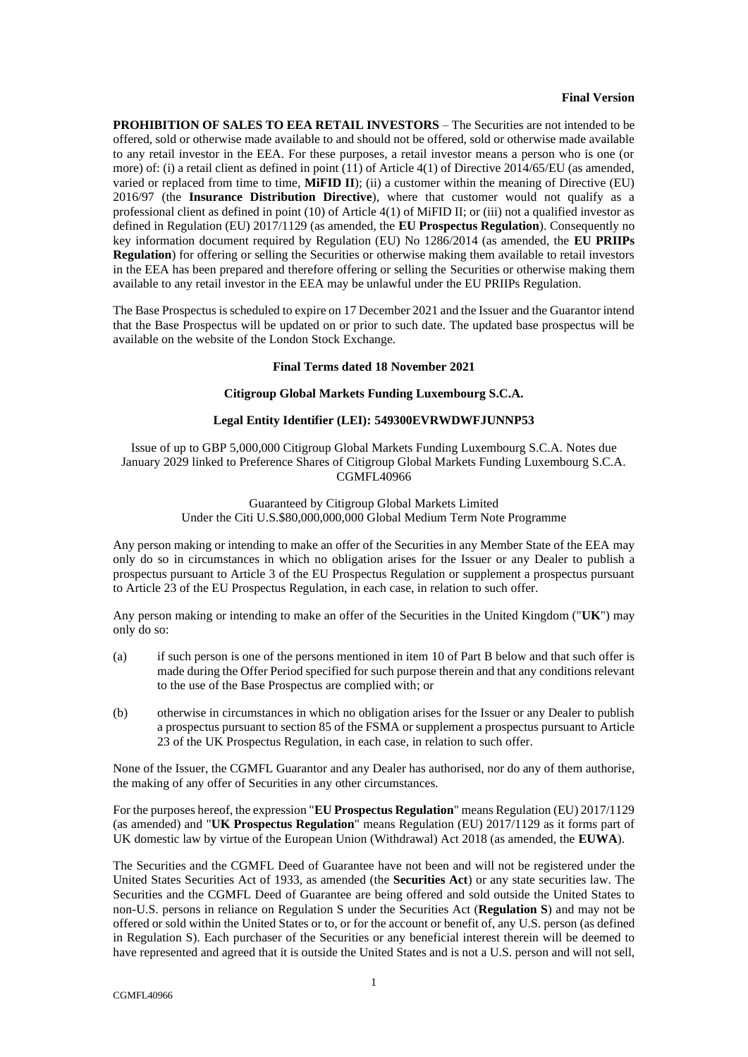#### **Final Version**

**PROHIBITION OF SALES TO EEA RETAIL INVESTORS** – The Securities are not intended to be offered, sold or otherwise made available to and should not be offered, sold or otherwise made available to any retail investor in the EEA. For these purposes, a retail investor means a person who is one (or more) of: (i) a retail client as defined in point (11) of Article 4(1) of Directive 2014/65/EU (as amended, varied or replaced from time to time, **MiFID II**); (ii) a customer within the meaning of Directive (EU) 2016/97 (the **Insurance Distribution Directive**), where that customer would not qualify as a professional client as defined in point (10) of Article 4(1) of MiFID II; or (iii) not a qualified investor as defined in Regulation (EU) 2017/1129 (as amended, the **EU Prospectus Regulation**). Consequently no key information document required by Regulation (EU) No 1286/2014 (as amended, the **EU PRIIPs Regulation**) for offering or selling the Securities or otherwise making them available to retail investors in the EEA has been prepared and therefore offering or selling the Securities or otherwise making them available to any retail investor in the EEA may be unlawful under the EU PRIIPs Regulation.

The Base Prospectus is scheduled to expire on 17 December 2021 and the Issuer and the Guarantor intend that the Base Prospectus will be updated on or prior to such date. The updated base prospectus will be available on the website of the London Stock Exchange.

### **Final Terms dated 18 November 2021**

### **Citigroup Global Markets Funding Luxembourg S.C.A.**

# **Legal Entity Identifier (LEI): 549300EVRWDWFJUNNP53**

Issue of up to GBP 5,000,000 Citigroup Global Markets Funding Luxembourg S.C.A. Notes due January 2029 linked to Preference Shares of Citigroup Global Markets Funding Luxembourg S.C.A. CGMFL40966

# Guaranteed by Citigroup Global Markets Limited Under the Citi U.S.\$80,000,000,000 Global Medium Term Note Programme

Any person making or intending to make an offer of the Securities in any Member State of the EEA may only do so in circumstances in which no obligation arises for the Issuer or any Dealer to publish a prospectus pursuant to Article 3 of the EU Prospectus Regulation or supplement a prospectus pursuant to Article 23 of the EU Prospectus Regulation, in each case, in relation to such offer.

Any person making or intending to make an offer of the Securities in the United Kingdom ("**UK**") may only do so:

- (a) if such person is one of the persons mentioned in item [10](#page-9-0) of [Part B](#page-7-0) below and that such offer is made during the Offer Period specified for such purpose therein and that any conditions relevant to the use of the Base Prospectus are complied with; or
- (b) otherwise in circumstances in which no obligation arises for the Issuer or any Dealer to publish a prospectus pursuant to section 85 of the FSMA or supplement a prospectus pursuant to Article 23 of the UK Prospectus Regulation, in each case, in relation to such offer.

None of the Issuer, the CGMFL Guarantor and any Dealer has authorised, nor do any of them authorise, the making of any offer of Securities in any other circumstances.

For the purposes hereof, the expression "**EU Prospectus Regulation**" means Regulation (EU) 2017/1129 (as amended) and "**UK Prospectus Regulation**" means Regulation (EU) 2017/1129 as it forms part of UK domestic law by virtue of the European Union (Withdrawal) Act 2018 (as amended, the **EUWA**).

The Securities and the CGMFL Deed of Guarantee have not been and will not be registered under the United States Securities Act of 1933, as amended (the **Securities Act**) or any state securities law. The Securities and the CGMFL Deed of Guarantee are being offered and sold outside the United States to non-U.S. persons in reliance on Regulation S under the Securities Act (**Regulation S**) and may not be offered or sold within the United States or to, or for the account or benefit of, any U.S. person (as defined in Regulation S). Each purchaser of the Securities or any beneficial interest therein will be deemed to have represented and agreed that it is outside the United States and is not a U.S. person and will not sell,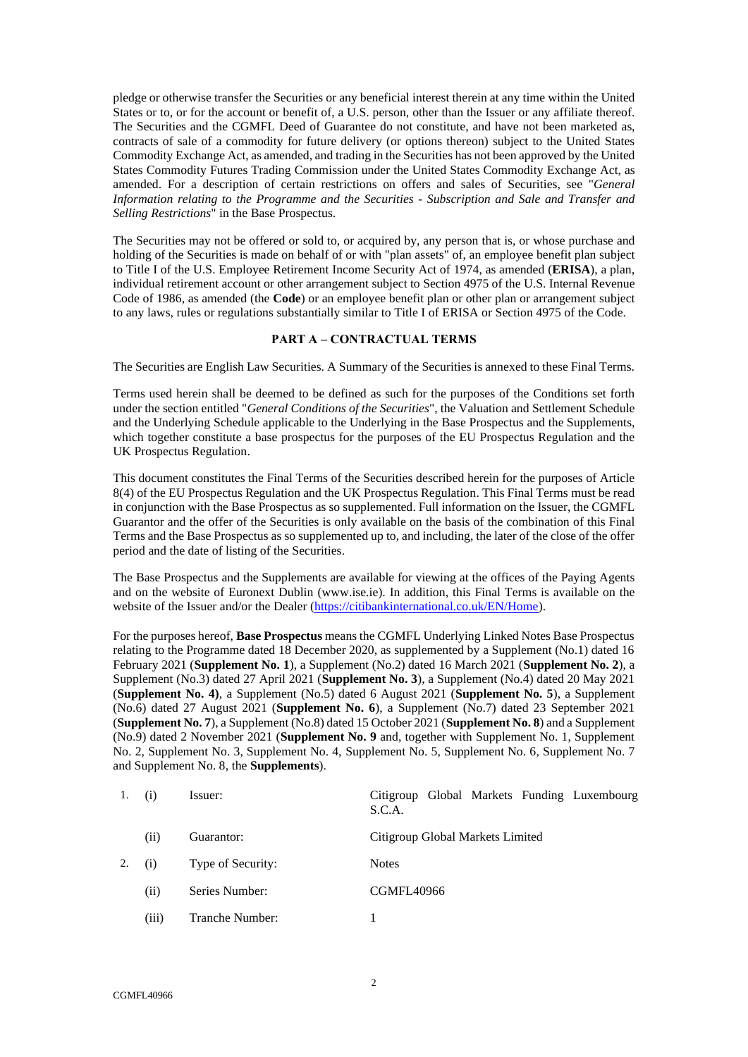pledge or otherwise transfer the Securities or any beneficial interest therein at any time within the United States or to, or for the account or benefit of, a U.S. person, other than the Issuer or any affiliate thereof. The Securities and the CGMFL Deed of Guarantee do not constitute, and have not been marketed as, contracts of sale of a commodity for future delivery (or options thereon) subject to the United States Commodity Exchange Act, as amended, and trading in the Securities has not been approved by the United States Commodity Futures Trading Commission under the United States Commodity Exchange Act, as amended. For a description of certain restrictions on offers and sales of Securities, see "*General Information relating to the Programme and the Securities - Subscription and Sale and Transfer and Selling Restrictions*" in the Base Prospectus.

The Securities may not be offered or sold to, or acquired by, any person that is, or whose purchase and holding of the Securities is made on behalf of or with "plan assets" of, an employee benefit plan subject to Title I of the U.S. Employee Retirement Income Security Act of 1974, as amended (**ERISA**), a plan, individual retirement account or other arrangement subject to Section 4975 of the U.S. Internal Revenue Code of 1986, as amended (the **Code**) or an employee benefit plan or other plan or arrangement subject to any laws, rules or regulations substantially similar to Title I of ERISA or Section 4975 of the Code.

## <span id="page-1-0"></span>**PART A – CONTRACTUAL TERMS**

The Securities are English Law Securities. A Summary of the Securities is annexed to these Final Terms.

Terms used herein shall be deemed to be defined as such for the purposes of the Conditions set forth under the section entitled "*General Conditions of the Securities*", the Valuation and Settlement Schedule and the Underlying Schedule applicable to the Underlying in the Base Prospectus and the Supplements, which together constitute a base prospectus for the purposes of the EU Prospectus Regulation and the UK Prospectus Regulation.

This document constitutes the Final Terms of the Securities described herein for the purposes of Article 8(4) of the EU Prospectus Regulation and the UK Prospectus Regulation. This Final Terms must be read in conjunction with the Base Prospectus as so supplemented. Full information on the Issuer, the CGMFL Guarantor and the offer of the Securities is only available on the basis of the combination of this Final Terms and the Base Prospectus as so supplemented up to, and including, the later of the close of the offer period and the date of listing of the Securities.

The Base Prospectus and the Supplements are available for viewing at the offices of the Paying Agents and on the website of Euronext Dublin (www.ise.ie). In addition, this Final Terms is available on the website of the Issuer and/or the Dealer [\(https://citibankinternational.co.uk/EN/Home\)](https://citibankinternational.co.uk/EN/Home).

For the purposes hereof, **Base Prospectus** means the CGMFL Underlying Linked Notes Base Prospectus relating to the Programme dated 18 December 2020, as supplemented by a Supplement (No.1) dated 16 February 2021 (**Supplement No. 1**), a Supplement (No.2) dated 16 March 2021 (**Supplement No. 2**), a Supplement (No.3) dated 27 April 2021 (**Supplement No. 3**), a Supplement (No.4) dated 20 May 2021 (**Supplement No. 4)**, a Supplement (No.5) dated 6 August 2021 (**Supplement No. 5**), a Supplement (No.6) dated 27 August 2021 (**Supplement No. 6**), a Supplement (No.7) dated 23 September 2021 (**Supplement No. 7**), a Supplement (No.8) dated 15 October 2021 (**Supplement No. 8**) and a Supplement (No.9) dated 2 November 2021 (**Supplement No. 9** and, together with Supplement No. 1, Supplement No. 2, Supplement No. 3, Supplement No. 4, Supplement No. 5, Supplement No. 6, Supplement No. 7 and Supplement No. 8, the **Supplements**).

| 1. | (i)   | Issuer:           | Citigroup Global Markets Funding Luxembourg<br>S.C.A. |
|----|-------|-------------------|-------------------------------------------------------|
|    | (ii)  | Guarantor:        | Citigroup Global Markets Limited                      |
| 2. | (i)   | Type of Security: | <b>Notes</b>                                          |
|    | (ii)  | Series Number:    | CGMFL40966                                            |
|    | (iii) | Tranche Number:   |                                                       |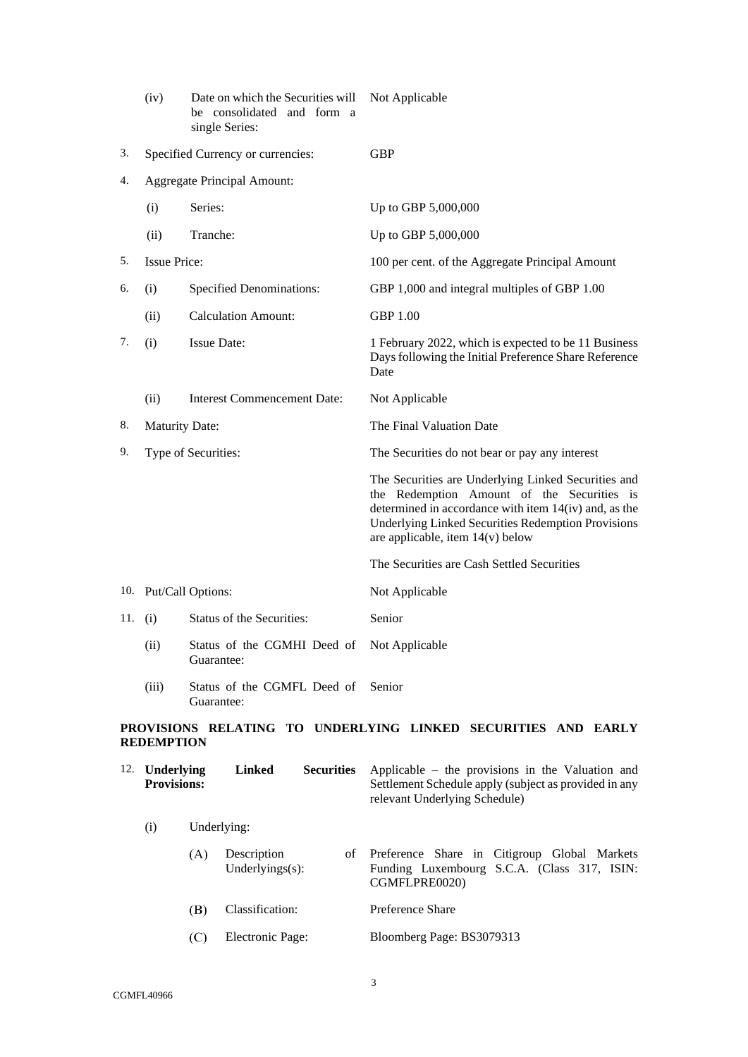|     | (iv)                  | Date on which the Securities will<br>be consolidated and form a<br>single Series: | Not Applicable                                                                                                                                                                                                                                              |
|-----|-----------------------|-----------------------------------------------------------------------------------|-------------------------------------------------------------------------------------------------------------------------------------------------------------------------------------------------------------------------------------------------------------|
| 3.  |                       | Specified Currency or currencies:                                                 | <b>GBP</b>                                                                                                                                                                                                                                                  |
| 4.  |                       | Aggregate Principal Amount:                                                       |                                                                                                                                                                                                                                                             |
|     | (i)                   | Series:                                                                           | Up to GBP 5,000,000                                                                                                                                                                                                                                         |
|     | (ii)                  | Tranche:                                                                          | Up to GBP 5,000,000                                                                                                                                                                                                                                         |
| 5.  | <b>Issue Price:</b>   |                                                                                   | 100 per cent. of the Aggregate Principal Amount                                                                                                                                                                                                             |
| 6.  | (i)                   | <b>Specified Denominations:</b>                                                   | GBP 1,000 and integral multiples of GBP 1.00                                                                                                                                                                                                                |
|     | (ii)                  | <b>Calculation Amount:</b>                                                        | <b>GBP 1.00</b>                                                                                                                                                                                                                                             |
| 7.  | (i)                   | <b>Issue Date:</b>                                                                | 1 February 2022, which is expected to be 11 Business<br>Days following the Initial Preference Share Reference<br>Date                                                                                                                                       |
|     | (ii)                  | <b>Interest Commencement Date:</b>                                                | Not Applicable                                                                                                                                                                                                                                              |
| 8.  | <b>Maturity Date:</b> |                                                                                   | The Final Valuation Date                                                                                                                                                                                                                                    |
| 9.  | Type of Securities:   |                                                                                   | The Securities do not bear or pay any interest                                                                                                                                                                                                              |
|     |                       |                                                                                   | The Securities are Underlying Linked Securities and<br>the Redemption Amount of the Securities is<br>determined in accordance with item 14(iv) and, as the<br><b>Underlying Linked Securities Redemption Provisions</b><br>are applicable, item 14(v) below |
|     |                       |                                                                                   | The Securities are Cash Settled Securities                                                                                                                                                                                                                  |
|     |                       | 10. Put/Call Options:                                                             | Not Applicable                                                                                                                                                                                                                                              |
| 11. | (i)                   | Status of the Securities:                                                         | Senior                                                                                                                                                                                                                                                      |
|     | (ii)                  | Status of the CGMHI Deed of<br>Guarantee:                                         | Not Applicable                                                                                                                                                                                                                                              |
|     | (iii)                 | Status of the CGMFL Deed of<br>Guarantee:                                         | Senior                                                                                                                                                                                                                                                      |
|     |                       |                                                                                   | PROVISIONS RELATING TO HNDERLVING LINKED SECHRITIES AND EARLY                                                                                                                                                                                               |

## **PROVISIONS RELATING TO UNDERLYING LINKED SECURITIES AND EARLY REDEMPTION**

| 12. <b>Underlying</b><br><b>Provisions:</b> |     | Linked                             | <b>Securities</b> | Applicable – the provisions in the Valuation and<br>Settlement Schedule apply (subject as provided in any<br>relevant Underlying Schedule) |
|---------------------------------------------|-----|------------------------------------|-------------------|--------------------------------------------------------------------------------------------------------------------------------------------|
| (i)                                         |     | Underlying:                        |                   |                                                                                                                                            |
|                                             | (A) | Description<br>Underlyings $(s)$ : | of                | Preference Share in Citigroup Global Markets<br>Funding Luxembourg S.C.A. (Class 317, ISIN:<br>CGMFLPRE0020)                               |
|                                             | (B) | Classification:                    |                   | Preference Share                                                                                                                           |
|                                             | (C  | Electronic Page:                   |                   | Bloomberg Page: BS3079313                                                                                                                  |
|                                             |     |                                    |                   |                                                                                                                                            |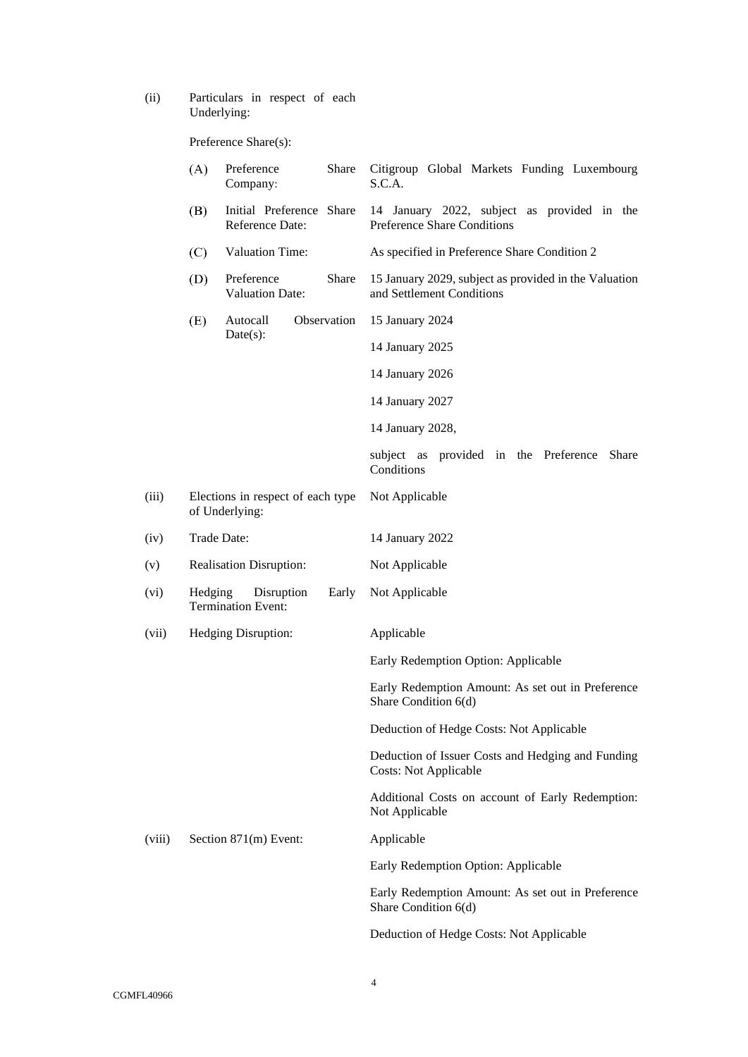(ii) Particulars in respect of each Underlying:

Preference Share(s):

|        | (A)     | Share<br>Preference<br>Company:                     | Citigroup Global Markets Funding Luxembourg<br>S.C.A.                              |
|--------|---------|-----------------------------------------------------|------------------------------------------------------------------------------------|
|        | (B)     | Initial Preference Share<br>Reference Date:         | 14 January 2022, subject as provided in the<br>Preference Share Conditions         |
|        | (C)     | Valuation Time:                                     | As specified in Preference Share Condition 2                                       |
|        | (D)     | Preference<br>Share<br><b>Valuation Date:</b>       | 15 January 2029, subject as provided in the Valuation<br>and Settlement Conditions |
|        | (E)     | Observation<br>Autocall                             | 15 January 2024                                                                    |
|        |         | Date(s):                                            | 14 January 2025                                                                    |
|        |         |                                                     | 14 January 2026                                                                    |
|        |         |                                                     | 14 January 2027                                                                    |
|        |         |                                                     | 14 January 2028,                                                                   |
|        |         |                                                     | subject as provided in the Preference<br><b>Share</b><br>Conditions                |
| (iii)  |         | Elections in respect of each type<br>of Underlying: | Not Applicable                                                                     |
| (iv)   |         | Trade Date:                                         | 14 January 2022                                                                    |
| (v)    |         | <b>Realisation Disruption:</b>                      | Not Applicable                                                                     |
| (vi)   | Hedging | Disruption<br>Early<br><b>Termination Event:</b>    | Not Applicable                                                                     |
| (vii)  |         | Hedging Disruption:                                 | Applicable                                                                         |
|        |         |                                                     | Early Redemption Option: Applicable                                                |
|        |         |                                                     | Early Redemption Amount: As set out in Preference<br>Share Condition 6(d)          |
|        |         |                                                     | Deduction of Hedge Costs: Not Applicable                                           |
|        |         |                                                     | Deduction of Issuer Costs and Hedging and Funding<br><b>Costs: Not Applicable</b>  |
|        |         |                                                     | Additional Costs on account of Early Redemption:<br>Not Applicable                 |
| (viii) |         | Section 871(m) Event:                               | Applicable                                                                         |
|        |         |                                                     | Early Redemption Option: Applicable                                                |
|        |         |                                                     | Early Redemption Amount: As set out in Preference<br>Share Condition 6(d)          |
|        |         |                                                     | Deduction of Hedge Costs: Not Applicable                                           |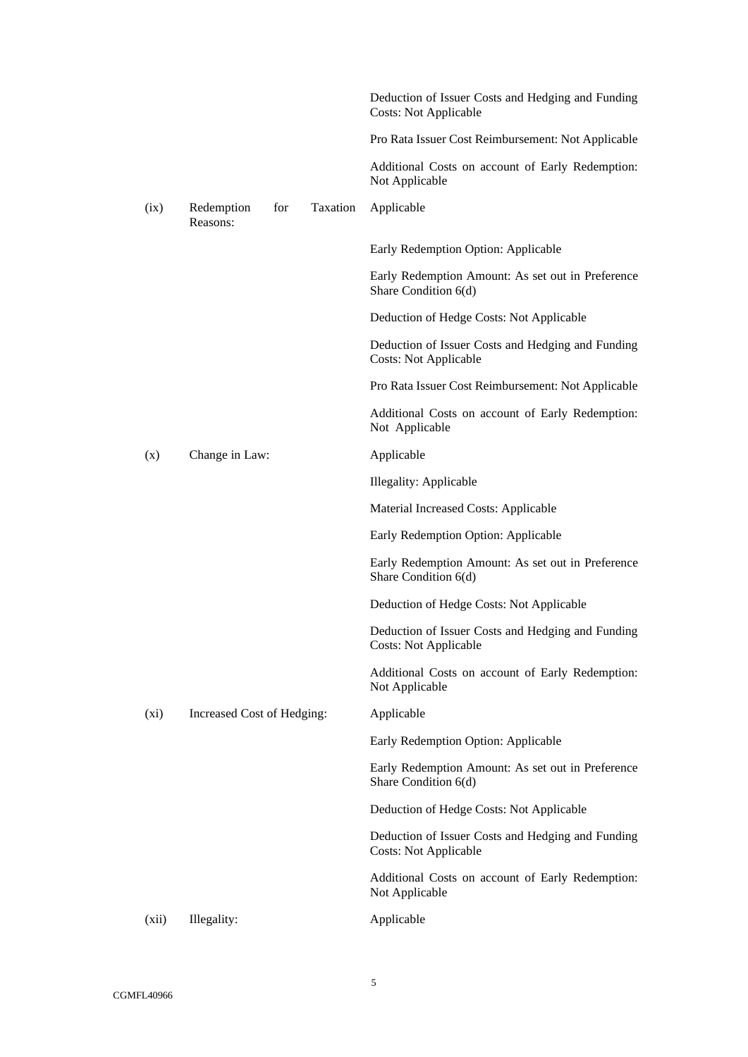|         |                            |     |          | Deduction of Issuer Costs and Hedging and Funding<br><b>Costs: Not Applicable</b> |
|---------|----------------------------|-----|----------|-----------------------------------------------------------------------------------|
|         |                            |     |          | Pro Rata Issuer Cost Reimbursement: Not Applicable                                |
|         |                            |     |          | Additional Costs on account of Early Redemption:<br>Not Applicable                |
| (ix)    | Redemption<br>Reasons:     | for | Taxation | Applicable                                                                        |
|         |                            |     |          | Early Redemption Option: Applicable                                               |
|         |                            |     |          | Early Redemption Amount: As set out in Preference<br>Share Condition 6(d)         |
|         |                            |     |          | Deduction of Hedge Costs: Not Applicable                                          |
|         |                            |     |          | Deduction of Issuer Costs and Hedging and Funding<br><b>Costs: Not Applicable</b> |
|         |                            |     |          | Pro Rata Issuer Cost Reimbursement: Not Applicable                                |
|         |                            |     |          | Additional Costs on account of Early Redemption:<br>Not Applicable                |
| (x)     | Change in Law:             |     |          | Applicable                                                                        |
|         |                            |     |          | Illegality: Applicable                                                            |
|         |                            |     |          | Material Increased Costs: Applicable                                              |
|         |                            |     |          | Early Redemption Option: Applicable                                               |
|         |                            |     |          | Early Redemption Amount: As set out in Preference<br>Share Condition 6(d)         |
|         |                            |     |          | Deduction of Hedge Costs: Not Applicable                                          |
|         |                            |     |          | Deduction of Issuer Costs and Hedging and Funding<br><b>Costs: Not Applicable</b> |
|         |                            |     |          | Additional Costs on account of Early Redemption:<br>Not Applicable                |
| $(x_i)$ | Increased Cost of Hedging: |     |          | Applicable                                                                        |
|         |                            |     |          | Early Redemption Option: Applicable                                               |
|         |                            |     |          | Early Redemption Amount: As set out in Preference<br>Share Condition 6(d)         |
|         |                            |     |          | Deduction of Hedge Costs: Not Applicable                                          |
|         |                            |     |          | Deduction of Issuer Costs and Hedging and Funding<br><b>Costs: Not Applicable</b> |
|         |                            |     |          | Additional Costs on account of Early Redemption:<br>Not Applicable                |
| (xii)   | Illegality:                |     |          | Applicable                                                                        |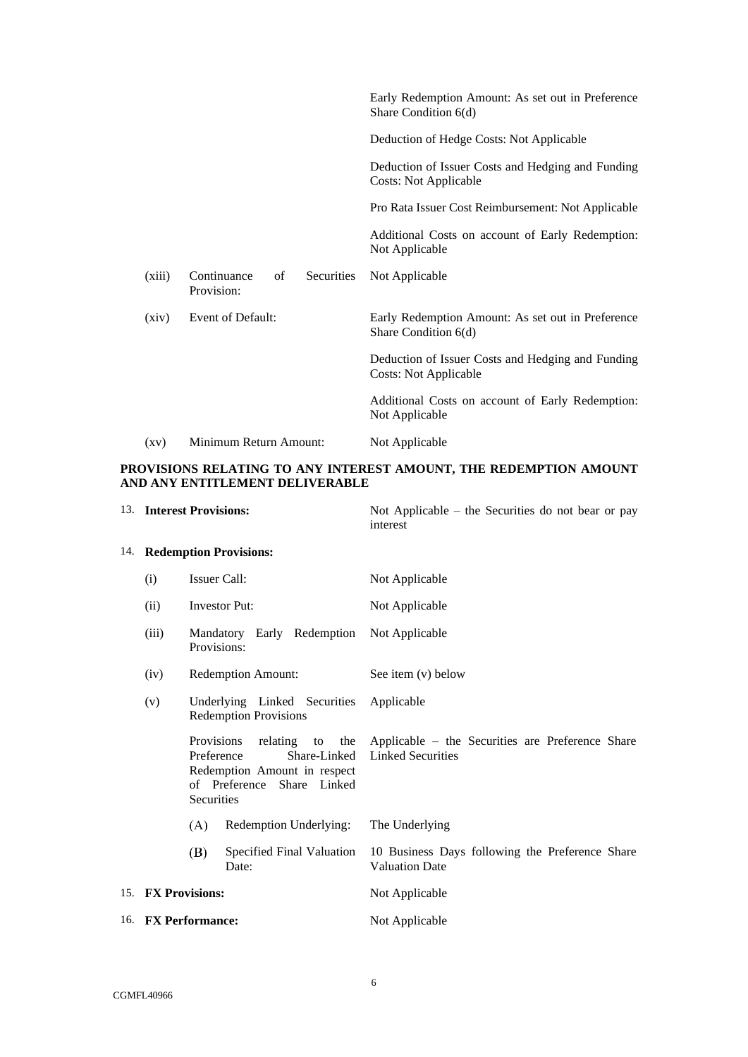|                    |                                               | Early Redemption Amount: As set out in Preference<br>Share Condition 6(d)         |
|--------------------|-----------------------------------------------|-----------------------------------------------------------------------------------|
|                    |                                               | Deduction of Hedge Costs: Not Applicable                                          |
|                    |                                               | Deduction of Issuer Costs and Hedging and Funding<br><b>Costs: Not Applicable</b> |
|                    |                                               | Pro Rata Issuer Cost Reimbursement: Not Applicable                                |
|                    |                                               | Additional Costs on account of Early Redemption:<br>Not Applicable                |
| (xiii)             | Continuance<br>of<br>Securities<br>Provision: | Not Applicable                                                                    |
| (xiv)              | Event of Default:                             | Early Redemption Amount: As set out in Preference<br>Share Condition 6(d)         |
|                    |                                               | Deduction of Issuer Costs and Hedging and Funding<br>Costs: Not Applicable        |
|                    |                                               | Additional Costs on account of Early Redemption:<br>Not Applicable                |
| $\left( xy\right)$ | Minimum Return Amount:                        | Not Applicable                                                                    |

# **PROVISIONS RELATING TO ANY INTEREST AMOUNT, THE REDEMPTION AMOUNT AND ANY ENTITLEMENT DELIVERABLE**

<span id="page-5-1"></span><span id="page-5-0"></span>

|     | 13. Interest Provisions:                                                                                             |                     |                                    | Not Applicable – the Securities do not bear or pay<br>interest               |
|-----|----------------------------------------------------------------------------------------------------------------------|---------------------|------------------------------------|------------------------------------------------------------------------------|
|     |                                                                                                                      |                     | 14. Redemption Provisions:         |                                                                              |
|     | (i)                                                                                                                  | <b>Issuer Call:</b> |                                    | Not Applicable                                                               |
|     | (ii)                                                                                                                 |                     | <b>Investor Put:</b>               | Not Applicable                                                               |
|     | (iii)                                                                                                                | Provisions:         | Mandatory Early Redemption         | Not Applicable                                                               |
|     | (iv)                                                                                                                 |                     | Redemption Amount:                 | See item (v) below                                                           |
|     | Underlying Linked Securities<br>(v)<br><b>Redemption Provisions</b>                                                  |                     |                                    | Applicable                                                                   |
|     | Provisions<br>Preference<br>Share-Linked<br>Redemption Amount in respect<br>of Preference Share Linked<br>Securities |                     | relating to the                    | Applicable – the Securities are Preference Share<br><b>Linked Securities</b> |
|     |                                                                                                                      | (A)                 | Redemption Underlying:             | The Underlying                                                               |
|     |                                                                                                                      | (B)                 | Specified Final Valuation<br>Date: | 10 Business Days following the Preference Share<br><b>Valuation Date</b>     |
| 15. | <b>FX Provisions:</b>                                                                                                |                     |                                    | Not Applicable                                                               |
|     | 16. FX Performance:                                                                                                  |                     |                                    | Not Applicable                                                               |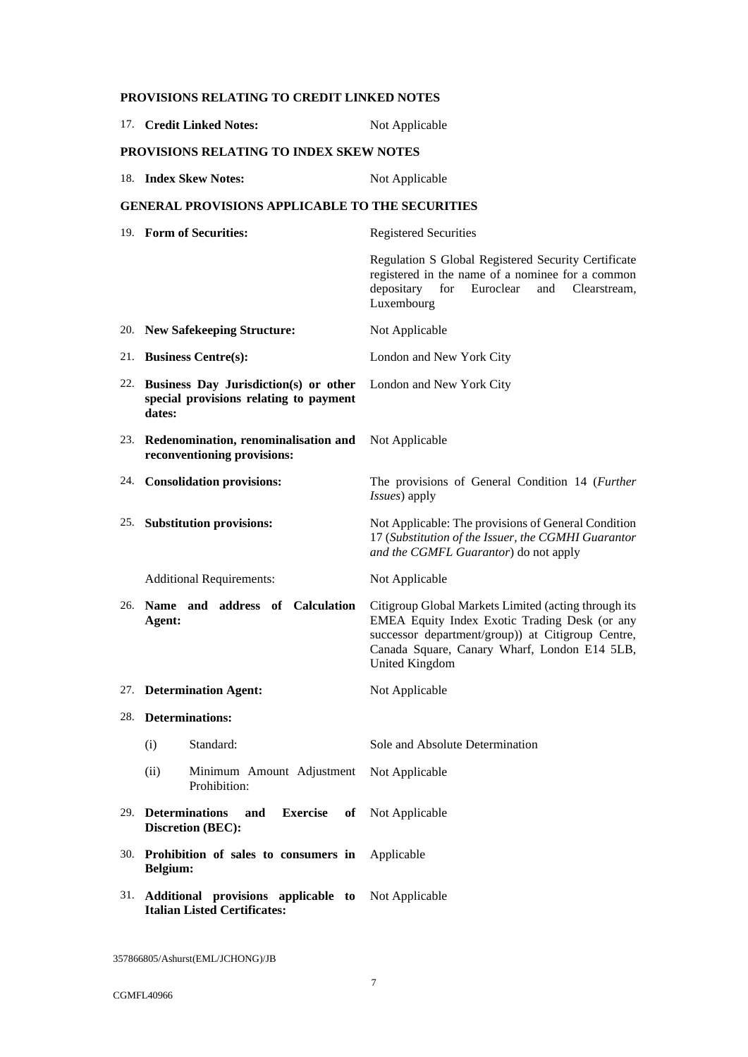| 17. Credit Linked Notes:                                                                      | Not Applicable                                                                                                                                                                                                                      |
|-----------------------------------------------------------------------------------------------|-------------------------------------------------------------------------------------------------------------------------------------------------------------------------------------------------------------------------------------|
| <b>PROVISIONS RELATING TO INDEX SKEW NOTES</b>                                                |                                                                                                                                                                                                                                     |
| 18. Index Skew Notes:                                                                         | Not Applicable                                                                                                                                                                                                                      |
| <b>GENERAL PROVISIONS APPLICABLE TO THE SECURITIES</b>                                        |                                                                                                                                                                                                                                     |
| 19. Form of Securities:                                                                       | <b>Registered Securities</b>                                                                                                                                                                                                        |
|                                                                                               | Regulation S Global Registered Security Certificate<br>registered in the name of a nominee for a common<br>depositary<br>Euroclear<br>for<br>and<br>Clearstream.<br>Luxembourg                                                      |
| 20. New Safekeeping Structure:                                                                | Not Applicable                                                                                                                                                                                                                      |
| 21. Business Centre(s):                                                                       | London and New York City                                                                                                                                                                                                            |
| 22. Business Day Jurisdiction(s) or other<br>special provisions relating to payment<br>dates: | London and New York City                                                                                                                                                                                                            |
| 23. Redenomination, renominalisation and<br>reconventioning provisions:                       | Not Applicable                                                                                                                                                                                                                      |
| 24. Consolidation provisions:                                                                 | The provisions of General Condition 14 (Further<br>Issues) apply                                                                                                                                                                    |
| 25. Substitution provisions:                                                                  | Not Applicable: The provisions of General Condition<br>17 (Substitution of the Issuer, the CGMHI Guarantor<br>and the CGMFL Guarantor) do not apply                                                                                 |
| <b>Additional Requirements:</b>                                                               | Not Applicable                                                                                                                                                                                                                      |
| 26. Name and address of Calculation<br>Agent:                                                 | Citigroup Global Markets Limited (acting through its<br>EMEA Equity Index Exotic Trading Desk (or any<br>successor department/group)) at Citigroup Centre,<br>Canada Square, Canary Wharf, London E14 5LB,<br><b>United Kingdom</b> |
| 27. Determination Agent:                                                                      | Not Applicable                                                                                                                                                                                                                      |
| 28. Determinations:                                                                           |                                                                                                                                                                                                                                     |
| Standard:<br>(i)                                                                              | Sole and Absolute Determination                                                                                                                                                                                                     |
| (ii)<br>Minimum Amount Adjustment<br>Prohibition:                                             | Not Applicable                                                                                                                                                                                                                      |
| 29. Determinations<br><b>Exercise</b><br>and<br>of<br><b>Discretion (BEC):</b>                | Not Applicable                                                                                                                                                                                                                      |
| 30. Prohibition of sales to consumers in Applicable<br>Belgium:                               |                                                                                                                                                                                                                                     |
| 31. Additional provisions applicable to Not Applicable<br><b>Italian Listed Certificates:</b> |                                                                                                                                                                                                                                     |

**PROVISIONS RELATING TO CREDIT LINKED NOTES**

357866805/Ashurst(EML/JCHONG)/JB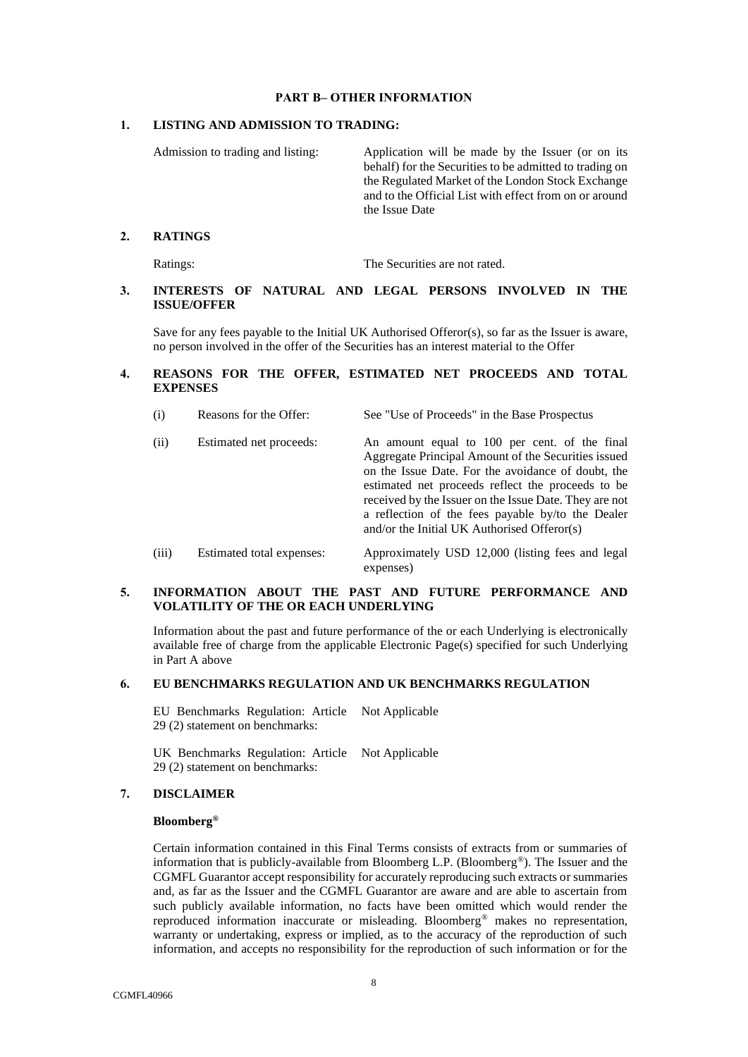### **PART B– OTHER INFORMATION**

## <span id="page-7-0"></span>**1. LISTING AND ADMISSION TO TRADING:**

Admission to trading and listing: Application will be made by the Issuer (or on its behalf) for the Securities to be admitted to trading on the Regulated Market of the London Stock Exchange and to the Official List with effect from on or around the Issue Date

## **2. RATINGS**

Ratings: The Securities are not rated.

# **3. INTERESTS OF NATURAL AND LEGAL PERSONS INVOLVED IN THE ISSUE/OFFER**

Save for any fees payable to the Initial UK Authorised Offeror(s), so far as the Issuer is aware, no person involved in the offer of the Securities has an interest material to the Offer

# **4. REASONS FOR THE OFFER, ESTIMATED NET PROCEEDS AND TOTAL EXPENSES**

| (i)<br>Reasons for the Offer:<br>See "Use of Proceeds" in the Base Prospectus |
|-------------------------------------------------------------------------------|
|-------------------------------------------------------------------------------|

| (ii)     | Estimated net proceeds:   | An amount equal to 100 per cent. of the final<br>Aggregate Principal Amount of the Securities issued<br>on the Issue Date. For the avoidance of doubt, the<br>estimated net proceeds reflect the proceeds to be<br>received by the Issuer on the Issue Date. They are not<br>a reflection of the fees payable by/to the Dealer<br>and/or the Initial UK Authorised Offeror(s) |
|----------|---------------------------|-------------------------------------------------------------------------------------------------------------------------------------------------------------------------------------------------------------------------------------------------------------------------------------------------------------------------------------------------------------------------------|
| $\left($ | Estimated total expenses: | Approximately USD 12.000 (listing foos and local                                                                                                                                                                                                                                                                                                                              |

(iii) Estimated total expenses: Approximately USD 12,000 (listing fees and legal expenses)

# **5. INFORMATION ABOUT THE PAST AND FUTURE PERFORMANCE AND VOLATILITY OF THE OR EACH UNDERLYING**

Information about the past and future performance of the or each Underlying is electronically available free of charge from the applicable Electronic Page(s) specified for such Underlying in [Part A above](#page-1-0)

## **6. EU BENCHMARKS REGULATION AND UK BENCHMARKS REGULATION**

EU Benchmarks Regulation: Article **=** Not Applicable 29 (2) statement on benchmarks:

UK Benchmarks Regulation: Article Not Applicable 29 (2) statement on benchmarks:

### **7. DISCLAIMER**

# **Bloomberg®**

Certain information contained in this Final Terms consists of extracts from or summaries of information that is publicly-available from Bloomberg L.P. (Bloomberg®). The Issuer and the CGMFL Guarantor accept responsibility for accurately reproducing such extracts or summaries and, as far as the Issuer and the CGMFL Guarantor are aware and are able to ascertain from such publicly available information, no facts have been omitted which would render the reproduced information inaccurate or misleading. Bloomberg® makes no representation, warranty or undertaking, express or implied, as to the accuracy of the reproduction of such information, and accepts no responsibility for the reproduction of such information or for the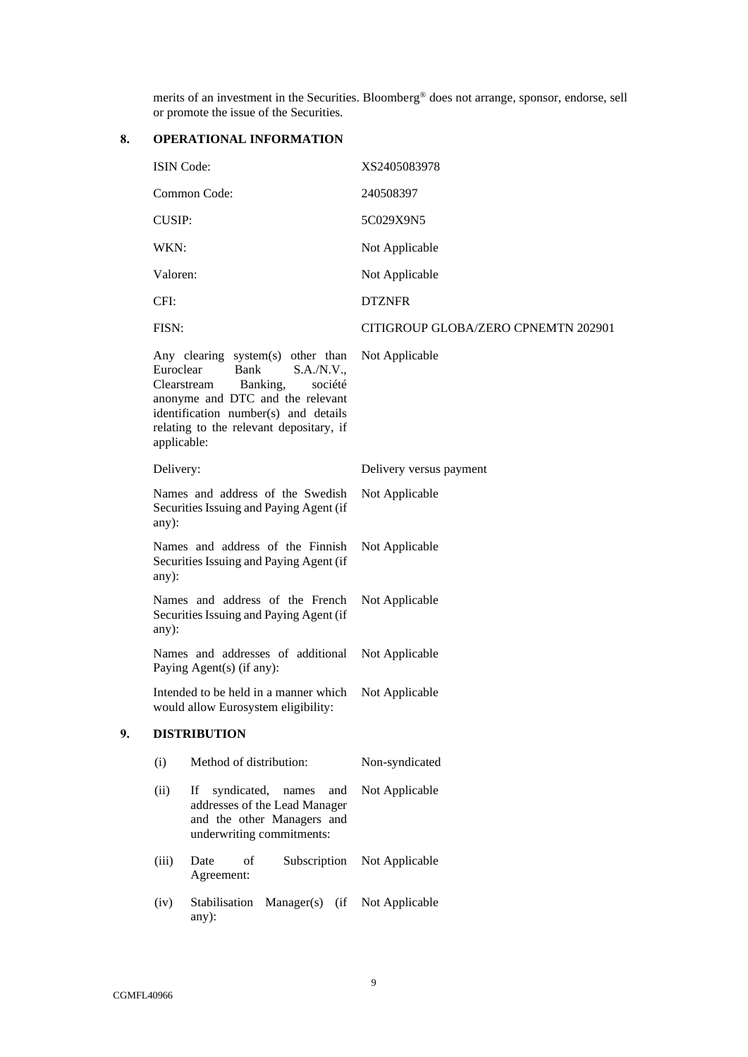merits of an investment in the Securities. Bloomberg® does not arrange, sponsor, endorse, sell or promote the issue of the Securities.

# **8. OPERATIONAL INFORMATION**

|    | <b>ISIN Code:</b>        |                                                                                                                                                                                                                      | XS2405083978                        |
|----|--------------------------|----------------------------------------------------------------------------------------------------------------------------------------------------------------------------------------------------------------------|-------------------------------------|
|    |                          | Common Code:                                                                                                                                                                                                         | 240508397                           |
|    | <b>CUSIP:</b>            |                                                                                                                                                                                                                      | 5C029X9N5                           |
|    | WKN:                     |                                                                                                                                                                                                                      | Not Applicable                      |
|    | Valoren:                 |                                                                                                                                                                                                                      | Not Applicable                      |
|    | CFI:                     |                                                                                                                                                                                                                      | <b>DTZNFR</b>                       |
|    | FISN:                    |                                                                                                                                                                                                                      | CITIGROUP GLOBA/ZERO CPNEMTN 202901 |
|    | Euroclear<br>applicable: | Any clearing system(s) other than<br>Bank<br>S.A./N.V.,<br>Clearstream<br>Banking,<br>société<br>anonyme and DTC and the relevant<br>identification number(s) and details<br>relating to the relevant depositary, if | Not Applicable                      |
|    | Delivery:                |                                                                                                                                                                                                                      | Delivery versus payment             |
|    | $any)$ :                 | Names and address of the Swedish<br>Securities Issuing and Paying Agent (if                                                                                                                                          | Not Applicable                      |
|    | any):                    | Names and address of the Finnish<br>Securities Issuing and Paying Agent (if                                                                                                                                          | Not Applicable                      |
|    | any):                    | Names and address of the French<br>Securities Issuing and Paying Agent (if                                                                                                                                           | Not Applicable                      |
|    |                          | Names and addresses of additional<br>Paying Agent(s) (if any):                                                                                                                                                       | Not Applicable                      |
|    |                          | Intended to be held in a manner which<br>would allow Eurosystem eligibility:                                                                                                                                         | Not Applicable                      |
| 9. |                          | <b>DISTRIBUTION</b>                                                                                                                                                                                                  |                                     |
|    | (i)                      | Method of distribution:                                                                                                                                                                                              | Non-syndicated                      |
|    | (ii)                     | syndicated,<br>names<br>If<br>and<br>addresses of the Lead Manager<br>and the other Managers and<br>underwriting commitments:                                                                                        | Not Applicable                      |
|    | (iii)                    | Date<br>of<br>Subscription<br>Agreement:                                                                                                                                                                             | Not Applicable                      |
|    | (iv)                     | Stabilisation<br>$Manager(s)$ (if<br>any):                                                                                                                                                                           | Not Applicable                      |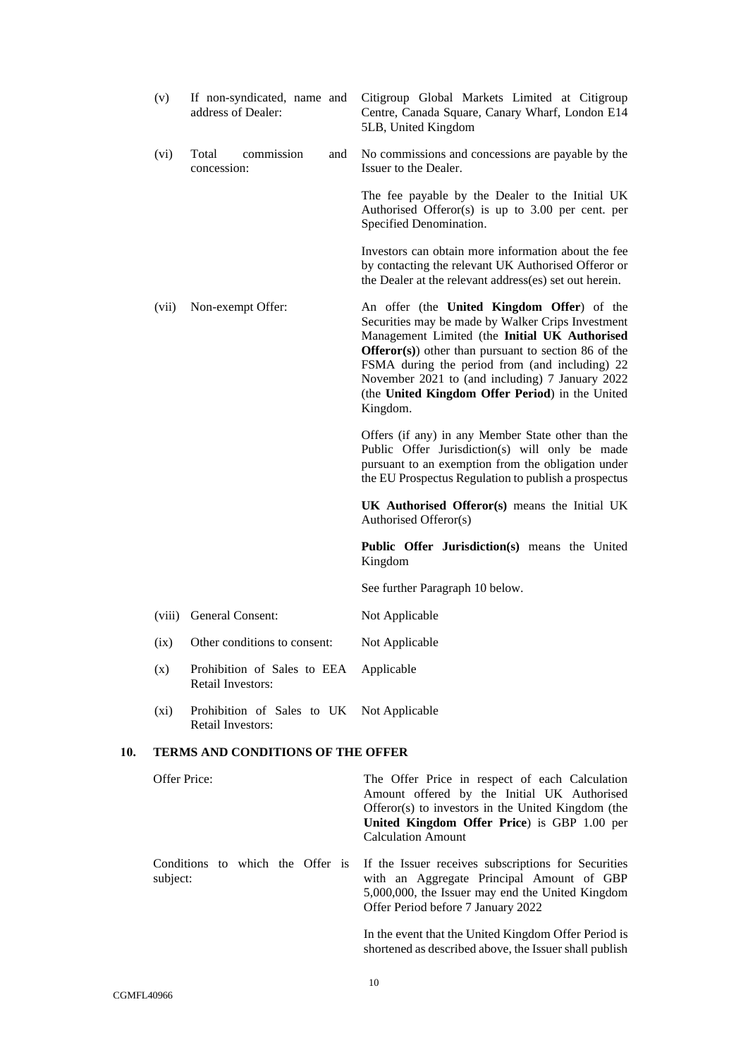|     | (v)          | If non-syndicated, name and<br>address of Dealer:                     | Citigroup Global Markets Limited at Citigroup<br>Centre, Canada Square, Canary Wharf, London E14<br>5LB, United Kingdom                                                                                                                                                                                                                                                            |
|-----|--------------|-----------------------------------------------------------------------|------------------------------------------------------------------------------------------------------------------------------------------------------------------------------------------------------------------------------------------------------------------------------------------------------------------------------------------------------------------------------------|
|     | (vi)         | commission<br>Total<br>and<br>concession:                             | No commissions and concessions are payable by the<br>Issuer to the Dealer.                                                                                                                                                                                                                                                                                                         |
|     |              |                                                                       | The fee payable by the Dealer to the Initial UK<br>Authorised Offeror(s) is up to $3.00$ per cent. per<br>Specified Denomination.                                                                                                                                                                                                                                                  |
|     |              |                                                                       | Investors can obtain more information about the fee<br>by contacting the relevant UK Authorised Offeror or<br>the Dealer at the relevant address(es) set out herein.                                                                                                                                                                                                               |
|     | (vii)        | Non-exempt Offer:                                                     | An offer (the United Kingdom Offer) of the<br>Securities may be made by Walker Crips Investment<br>Management Limited (the Initial UK Authorised<br><b>Offeror(s)</b> other than pursuant to section 86 of the<br>FSMA during the period from (and including) 22<br>November 2021 to (and including) 7 January 2022<br>(the United Kingdom Offer Period) in the United<br>Kingdom. |
|     |              |                                                                       | Offers (if any) in any Member State other than the<br>Public Offer Jurisdiction(s) will only be made<br>pursuant to an exemption from the obligation under<br>the EU Prospectus Regulation to publish a prospectus                                                                                                                                                                 |
|     |              |                                                                       | UK Authorised Offeror(s) means the Initial UK<br>Authorised Offeror(s)                                                                                                                                                                                                                                                                                                             |
|     |              |                                                                       | Public Offer Jurisdiction(s) means the United<br>Kingdom                                                                                                                                                                                                                                                                                                                           |
|     |              |                                                                       | See further Paragraph 10 below.                                                                                                                                                                                                                                                                                                                                                    |
|     | (viii)       | General Consent:                                                      | Not Applicable                                                                                                                                                                                                                                                                                                                                                                     |
|     | (ix)         | Other conditions to consent:                                          | Not Applicable                                                                                                                                                                                                                                                                                                                                                                     |
|     | (x)          | Prohibition of Sales to EEA Applicable<br><b>Retail Investors:</b>    |                                                                                                                                                                                                                                                                                                                                                                                    |
|     | $(x_i)$      | Prohibition of Sales to UK Not Applicable<br><b>Retail Investors:</b> |                                                                                                                                                                                                                                                                                                                                                                                    |
| 10. |              | <b>TERMS AND CONDITIONS OF THE OFFER</b>                              |                                                                                                                                                                                                                                                                                                                                                                                    |
|     | Offer Price: |                                                                       | The Offer Price in respect of each Calculation<br>Amount offered by the Initial UK Authorised<br>Offeror(s) to investors in the United Kingdom (the<br>United Kingdom Offer Price) is GBP 1.00 per<br><b>Calculation Amount</b>                                                                                                                                                    |
|     | subject:     | Conditions to which the Offer is                                      | If the Issuer receives subscriptions for Securities<br>with an Aggregate Principal Amount of GBP<br>5,000,000, the Issuer may end the United Kingdom<br>Offer Period before 7 January 2022                                                                                                                                                                                         |
|     |              |                                                                       | In the event that the United Kingdom Offer Period is                                                                                                                                                                                                                                                                                                                               |

<span id="page-9-0"></span>shortened as described above, the Issuer shall publish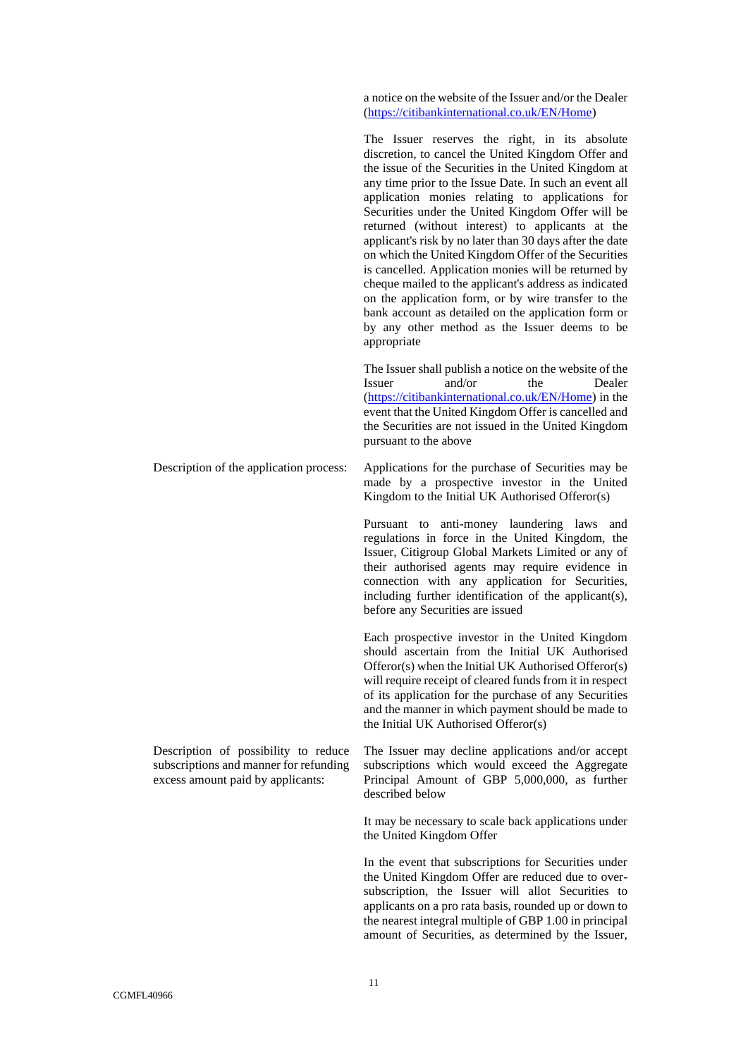a notice on the website of the Issuer and/or the Dealer [\(https://citibankinternational.co.uk/EN/Home\)](https://citibankinternational.co.uk/EN/Home)

The Issuer reserves the right, in its absolute discretion, to cancel the United Kingdom Offer and the issue of the Securities in the United Kingdom at any time prior to the Issue Date. In such an event all application monies relating to applications for Securities under the United Kingdom Offer will be returned (without interest) to applicants at the applicant's risk by no later than 30 days after the date on which the United Kingdom Offer of the Securities is cancelled. Application monies will be returned by cheque mailed to the applicant's address as indicated on the application form, or by wire transfer to the bank account as detailed on the application form or by any other method as the Issuer deems to be appropriate

The Issuer shall publish a notice on the website of the Issuer and/or the Dealer [\(https://citibankinternational.co.uk/EN/Home\)](https://citibankinternational.co.uk/EN/Home) in the event that the United Kingdom Offer is cancelled and the Securities are not issued in the United Kingdom pursuant to the above

Description of the application process: Applications for the purchase of Securities may be made by a prospective investor in the United Kingdom to the Initial UK Authorised Offeror(s)

> Pursuant to anti-money laundering laws and regulations in force in the United Kingdom, the Issuer, Citigroup Global Markets Limited or any of their authorised agents may require evidence in connection with any application for Securities, including further identification of the applicant(s), before any Securities are issued

> Each prospective investor in the United Kingdom should ascertain from the Initial UK Authorised Offeror(s) when the Initial UK Authorised Offeror(s) will require receipt of cleared funds from it in respect of its application for the purchase of any Securities and the manner in which payment should be made to the Initial UK Authorised Offeror(s)

> The Issuer may decline applications and/or accept subscriptions which would exceed the Aggregate Principal Amount of GBP 5,000,000, as further described below

> It may be necessary to scale back applications under the United Kingdom Offer

> In the event that subscriptions for Securities under the United Kingdom Offer are reduced due to oversubscription, the Issuer will allot Securities to applicants on a pro rata basis, rounded up or down to the nearest integral multiple of GBP 1.00 in principal amount of Securities, as determined by the Issuer,

Description of possibility to reduce subscriptions and manner for refunding excess amount paid by applicants: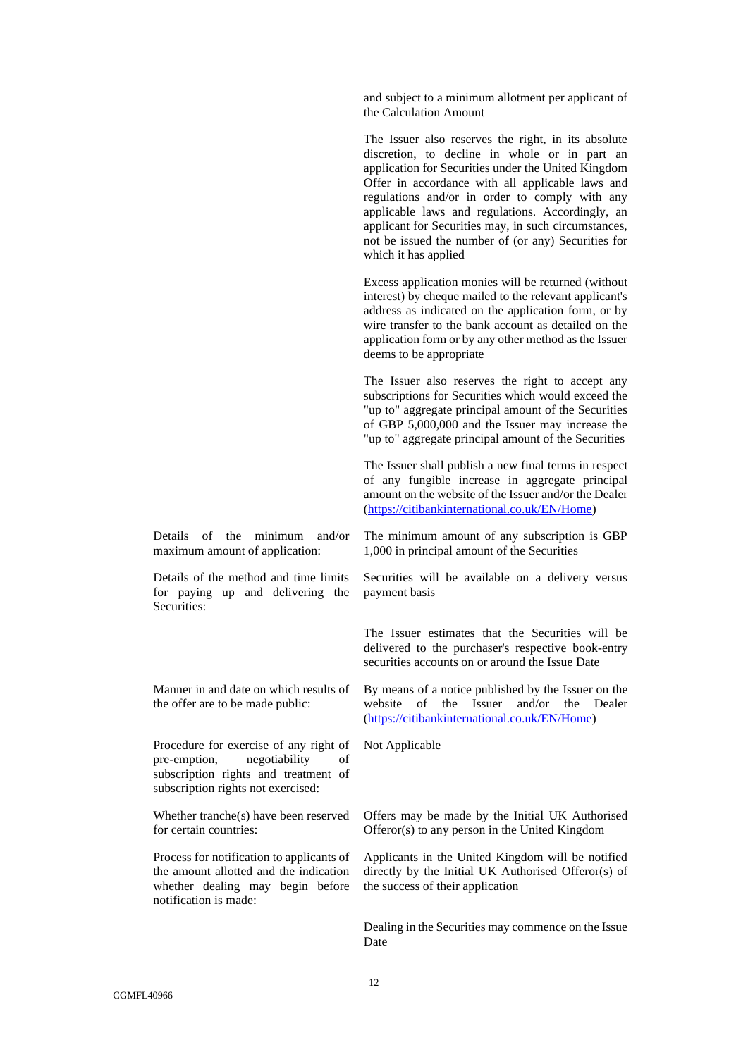and subject to a minimum allotment per applicant of the Calculation Amount

The Issuer also reserves the right, in its absolute discretion, to decline in whole or in part an application for Securities under the United Kingdom Offer in accordance with all applicable laws and regulations and/or in order to comply with any applicable laws and regulations. Accordingly, an applicant for Securities may, in such circumstances, not be issued the number of (or any) Securities for which it has applied

Excess application monies will be returned (without interest) by cheque mailed to the relevant applicant's address as indicated on the application form, or by wire transfer to the bank account as detailed on the application form or by any other method as the Issuer deems to be appropriate

The Issuer also reserves the right to accept any subscriptions for Securities which would exceed the "up to" aggregate principal amount of the Securities of GBP 5,000,000 and the Issuer may increase the "up to" aggregate principal amount of the Securities

The Issuer shall publish a new final terms in respect of any fungible increase in aggregate principal amount on the website of the Issuer and/or the Dealer [\(https://citibankinternational.co.uk/EN/Home\)](https://citibankinternational.co.uk/EN/Home)

Details of the minimum and/or maximum amount of application:

Details of the method and time limits for paying up and delivering the Securities:

Manner in and date on which results of the offer are to be made public:

Procedure for exercise of any right of pre-emption, negotiability of subscription rights and treatment of subscription rights not exercised:

Whether tranche(s) have been reserved for certain countries:

Process for notification to applicants of the amount allotted and the indication whether dealing may begin before notification is made:

The minimum amount of any subscription is GBP 1,000 in principal amount of the Securities

Securities will be available on a delivery versus payment basis

The Issuer estimates that the Securities will be delivered to the purchaser's respective book-entry securities accounts on or around the Issue Date

By means of a notice published by the Issuer on the website of the Issuer and/or the Dealer [\(https://citibankinternational.co.uk/EN/Home\)](https://citibankinternational.co.uk/EN/Home)

Not Applicable

Offers may be made by the Initial UK Authorised Offeror(s) to any person in the United Kingdom

Applicants in the United Kingdom will be notified directly by the Initial UK Authorised Offeror(s) of the success of their application

Dealing in the Securities may commence on the Issue Date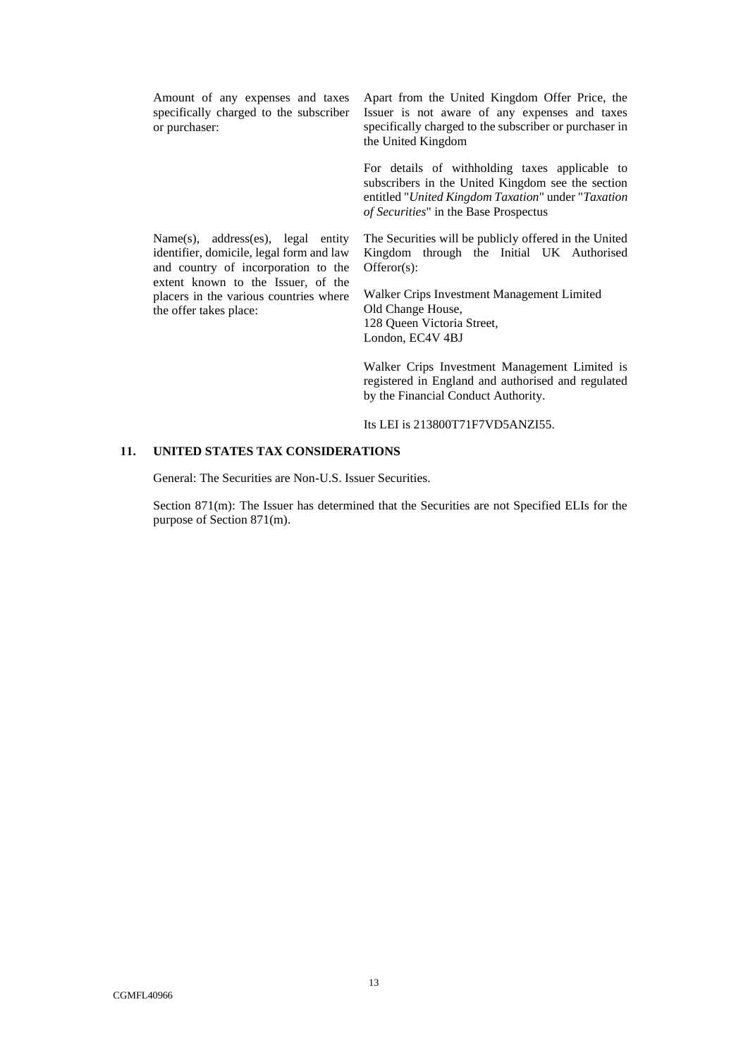Amount of any expenses and taxes specifically charged to the subscriber or purchaser:

Name(s), address(es), legal entity identifier, domicile, legal form and law and country of incorporation to the extent known to the Issuer, of the placers in the various countries where

the offer takes place:

Apart from the United Kingdom Offer Price, the Issuer is not aware of any expenses and taxes specifically charged to the subscriber or purchaser in the United Kingdom

For details of withholding taxes applicable to subscribers in the United Kingdom see the section entitled "*United Kingdom Taxation*" under "*Taxation of Securities*" in the Base Prospectus

The Securities will be publicly offered in the United Kingdom through the Initial UK Authorised Offeror(s):

Walker Crips Investment Management Limited Old Change House, 128 Queen Victoria Street, London, EC4V 4BJ

Walker Crips Investment Management Limited is registered in England and authorised and regulated by the Financial Conduct Authority.

Its LEI is 213800T71F7VD5ANZI55.

## **11. UNITED STATES TAX CONSIDERATIONS**

General: The Securities are Non-U.S. Issuer Securities.

Section 871(m): The Issuer has determined that the Securities are not Specified ELIs for the purpose of Section 871(m).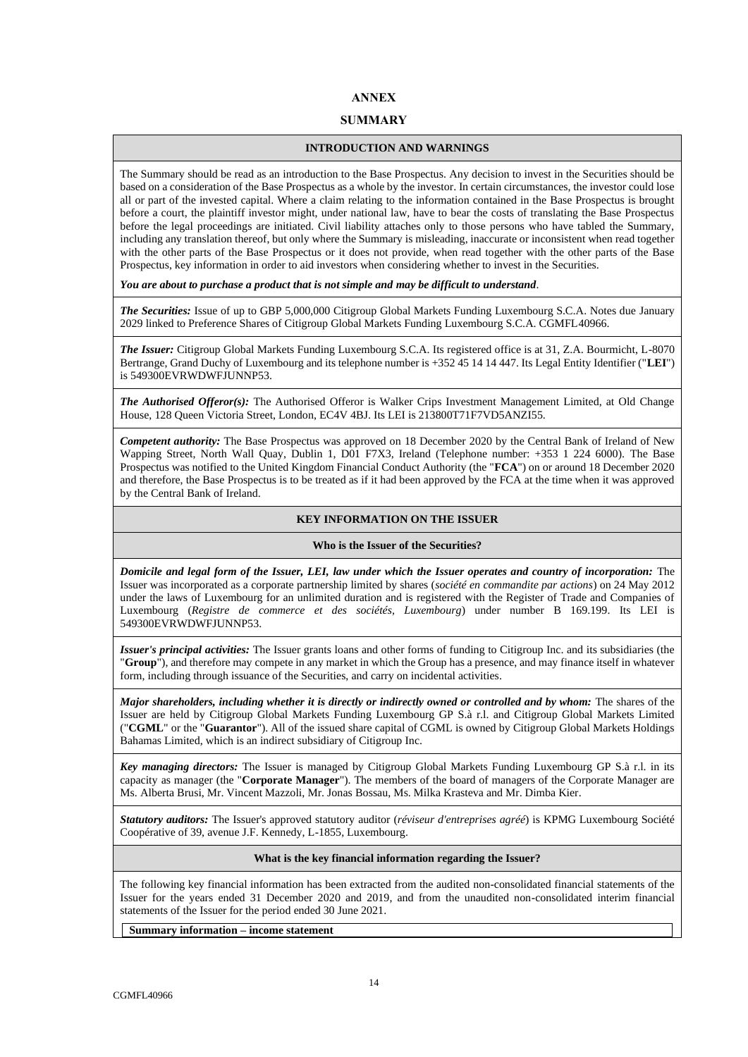# **ANNEX**

## **SUMMARY**

### **INTRODUCTION AND WARNINGS**

The Summary should be read as an introduction to the Base Prospectus. Any decision to invest in the Securities should be based on a consideration of the Base Prospectus as a whole by the investor. In certain circumstances, the investor could lose all or part of the invested capital. Where a claim relating to the information contained in the Base Prospectus is brought before a court, the plaintiff investor might, under national law, have to bear the costs of translating the Base Prospectus before the legal proceedings are initiated. Civil liability attaches only to those persons who have tabled the Summary, including any translation thereof, but only where the Summary is misleading, inaccurate or inconsistent when read together with the other parts of the Base Prospectus or it does not provide, when read together with the other parts of the Base Prospectus, key information in order to aid investors when considering whether to invest in the Securities.

*You are about to purchase a product that is not simple and may be difficult to understand*.

*The Securities:* Issue of up to GBP 5,000,000 Citigroup Global Markets Funding Luxembourg S.C.A. Notes due January 2029 linked to Preference Shares of Citigroup Global Markets Funding Luxembourg S.C.A. CGMFL40966.

*The Issuer:* Citigroup Global Markets Funding Luxembourg S.C.A. Its registered office is at 31, Z.A. Bourmicht, L-8070 Bertrange, Grand Duchy of Luxembourg and its telephone number is +352 45 14 14 447. Its Legal Entity Identifier ("**LEI**") is 549300EVRWDWFJUNNP53.

*The Authorised Offeror(s):* The Authorised Offeror is Walker Crips Investment Management Limited, at Old Change House, 128 Queen Victoria Street, London, EC4V 4BJ. Its LEI is 213800T71F7VD5ANZI55.

*Competent authority:* The Base Prospectus was approved on 18 December 2020 by the Central Bank of Ireland of New Wapping Street, North Wall Quay, Dublin 1, D01 F7X3, Ireland (Telephone number: +353 1 224 6000). The Base Prospectus was notified to the United Kingdom Financial Conduct Authority (the "**FCA**") on or around 18 December 2020 and therefore, the Base Prospectus is to be treated as if it had been approved by the FCA at the time when it was approved by the Central Bank of Ireland.

## **KEY INFORMATION ON THE ISSUER**

#### **Who is the Issuer of the Securities?**

*Domicile and legal form of the Issuer, LEI, law under which the Issuer operates and country of incorporation:* The Issuer was incorporated as a corporate partnership limited by shares (*société en commandite par actions*) on 24 May 2012 under the laws of Luxembourg for an unlimited duration and is registered with the Register of Trade and Companies of Luxembourg (*Registre de commerce et des sociétés, Luxembourg*) under number B 169.199. Its LEI is 549300EVRWDWFJUNNP53.

*Issuer's principal activities:* The Issuer grants loans and other forms of funding to Citigroup Inc. and its subsidiaries (the "**Group**"), and therefore may compete in any market in which the Group has a presence, and may finance itself in whatever form, including through issuance of the Securities, and carry on incidental activities.

*Major shareholders, including whether it is directly or indirectly owned or controlled and by whom:* The shares of the Issuer are held by Citigroup Global Markets Funding Luxembourg GP S.à r.l. and Citigroup Global Markets Limited ("**CGML**" or the "**Guarantor**"). All of the issued share capital of CGML is owned by Citigroup Global Markets Holdings Bahamas Limited, which is an indirect subsidiary of Citigroup Inc.

*Key managing directors:* The Issuer is managed by Citigroup Global Markets Funding Luxembourg GP S.à r.l. in its capacity as manager (the "**Corporate Manager**"). The members of the board of managers of the Corporate Manager are Ms. Alberta Brusi, Mr. Vincent Mazzoli, Mr. Jonas Bossau, Ms. Milka Krasteva and Mr. Dimba Kier.

*Statutory auditors:* The Issuer's approved statutory auditor (*réviseur d'entreprises agréé*) is KPMG Luxembourg Société Coopérative of 39, avenue J.F. Kennedy, L-1855, Luxembourg.

#### **What is the key financial information regarding the Issuer?**

The following key financial information has been extracted from the audited non-consolidated financial statements of the Issuer for the years ended 31 December 2020 and 2019, and from the unaudited non-consolidated interim financial statements of the Issuer for the period ended 30 June 2021.

**Summary information – income statement**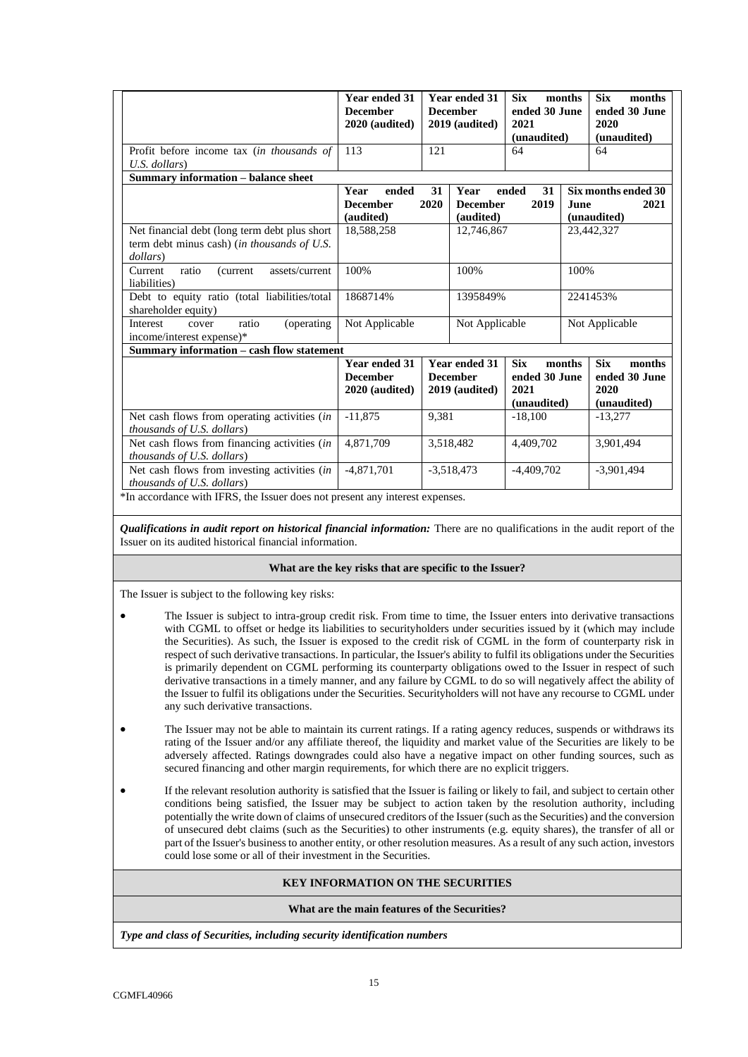|                                                                                                                                                                    | <b>Year ended 31</b><br><b>December</b><br>2020 (audited) |              | <b>Year ended 31</b><br><b>December</b><br>2019 (audited) | <b>Six</b><br>months<br>ended 30 June<br>2021<br>(unaudited) |                | <b>Six</b><br>months<br>ended 30 June<br>2020<br>(unaudited) |  |
|--------------------------------------------------------------------------------------------------------------------------------------------------------------------|-----------------------------------------------------------|--------------|-----------------------------------------------------------|--------------------------------------------------------------|----------------|--------------------------------------------------------------|--|
| Profit before income tax <i>(in thousands of</i>                                                                                                                   | 113                                                       | 121          |                                                           | 64                                                           |                | 64                                                           |  |
| $U.S.$ dollars)                                                                                                                                                    |                                                           |              |                                                           |                                                              |                |                                                              |  |
| <b>Summary information – balance sheet</b>                                                                                                                         |                                                           |              |                                                           |                                                              |                |                                                              |  |
|                                                                                                                                                                    | ended<br>Year                                             | 31           | Year                                                      | 31<br>ended                                                  |                | Six months ended 30                                          |  |
|                                                                                                                                                                    | <b>December</b>                                           | 2020         | <b>December</b>                                           | 2019                                                         | June           | 2021                                                         |  |
|                                                                                                                                                                    | (audited)                                                 |              | (audited)                                                 |                                                              |                | (unaudited)                                                  |  |
| Net financial debt (long term debt plus short<br>term debt minus cash) (in thousands of U.S.<br>dollars)                                                           | 18,588,258                                                | 12,746,867   |                                                           | 23,442,327                                                   |                |                                                              |  |
| ratio<br>assets/current<br>Current<br>(current<br>liabilities)                                                                                                     | 100%<br>100%                                              |              |                                                           | 100%                                                         |                |                                                              |  |
| Debt to equity ratio (total liabilities/total<br>shareholder equity)                                                                                               | 1868714%<br>1395849%                                      |              | 2241453%                                                  |                                                              |                |                                                              |  |
| Interest<br>ratio<br>(operating)<br>cover<br>income/interest expense)*                                                                                             | Not Applicable<br>Not Applicable                          |              |                                                           |                                                              | Not Applicable |                                                              |  |
| Summary information - cash flow statement                                                                                                                          |                                                           |              |                                                           |                                                              |                |                                                              |  |
|                                                                                                                                                                    | <b>Year ended 31</b><br><b>December</b><br>2020 (audited) |              | <b>Year ended 31</b><br><b>December</b><br>2019 (audited) | <b>Six</b><br>months<br>ended 30 June<br>2021<br>(unaudited) |                | <b>Six</b><br>months<br>ended 30 June<br>2020<br>(unaudited) |  |
| Net cash flows from operating activities (in<br><i>thousands of U.S. dollars</i> )                                                                                 | $-11.875$                                                 | 9.381        |                                                           | $-18,100$                                                    |                | $-13.277$                                                    |  |
| Net cash flows from financing activities (in<br>thousands of U.S. dollars)                                                                                         | 4.871.709                                                 |              | 3,518,482                                                 | 4.409.702                                                    |                | 3,901,494                                                    |  |
| Net cash flows from investing activities (in<br><i>thousands of U.S. dollars</i> )<br>*In accordance with IFRS, the Issuer does not present any interest expenses. | $-4,871,701$                                              | $-3,518,473$ |                                                           | $-4.409.702$                                                 |                | $-3.901.494$                                                 |  |

*Qualifications in audit report on historical financial information:* There are no qualifications in the audit report of the Issuer on its audited historical financial information.

#### **What are the key risks that are specific to the Issuer?**

The Issuer is subject to the following key risks:

- The Issuer is subject to intra-group credit risk. From time to time, the Issuer enters into derivative transactions with CGML to offset or hedge its liabilities to securityholders under securities issued by it (which may include the Securities). As such, the Issuer is exposed to the credit risk of CGML in the form of counterparty risk in respect of such derivative transactions. In particular, the Issuer's ability to fulfil its obligations under the Securities is primarily dependent on CGML performing its counterparty obligations owed to the Issuer in respect of such derivative transactions in a timely manner, and any failure by CGML to do so will negatively affect the ability of the Issuer to fulfil its obligations under the Securities. Securityholders will not have any recourse to CGML under any such derivative transactions.
- The Issuer may not be able to maintain its current ratings. If a rating agency reduces, suspends or withdraws its rating of the Issuer and/or any affiliate thereof, the liquidity and market value of the Securities are likely to be adversely affected. Ratings downgrades could also have a negative impact on other funding sources, such as secured financing and other margin requirements, for which there are no explicit triggers.
- If the relevant resolution authority is satisfied that the Issuer is failing or likely to fail, and subject to certain other conditions being satisfied, the Issuer may be subject to action taken by the resolution authority, including potentially the write down of claims of unsecured creditors of the Issuer (such as the Securities) and the conversion of unsecured debt claims (such as the Securities) to other instruments (e.g. equity shares), the transfer of all or part of the Issuer's business to another entity, or other resolution measures. As a result of any such action, investors could lose some or all of their investment in the Securities.

# **KEY INFORMATION ON THE SECURITIES**

#### **What are the main features of the Securities?**

*Type and class of Securities, including security identification numbers*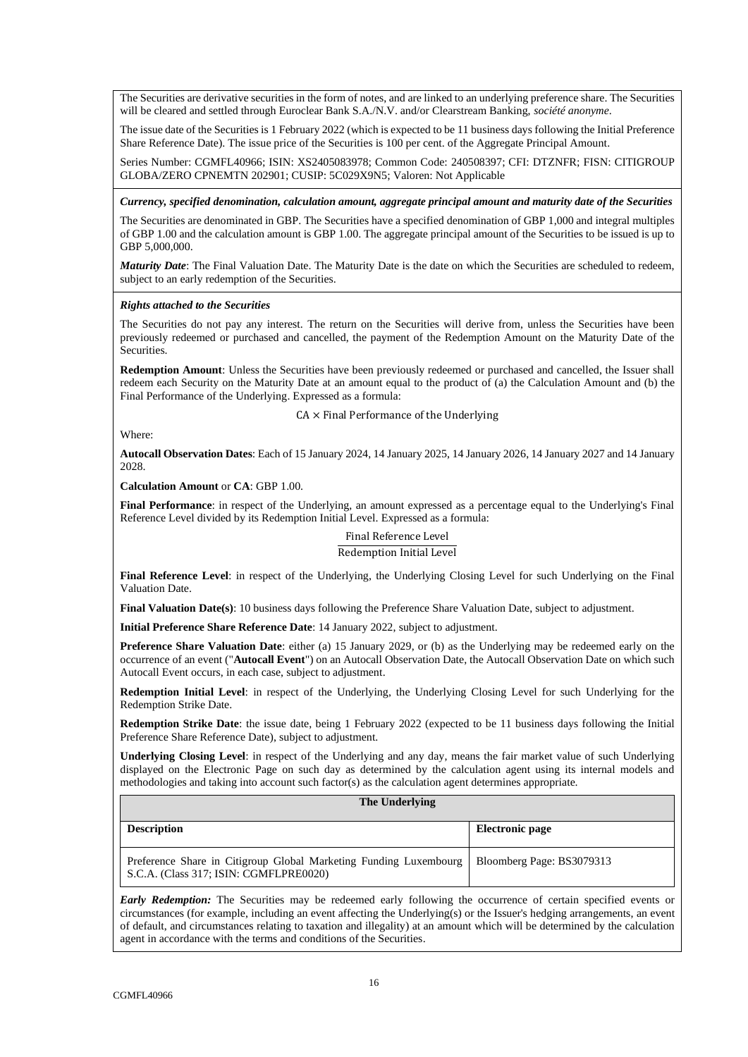The Securities are derivative securities in the form of notes, and are linked to an underlying preference share. The Securities will be cleared and settled through Euroclear Bank S.A./N.V. and/or Clearstream Banking, *société anonyme*.

The issue date of the Securities is 1 February 2022 (which is expected to be 11 business days following the Initial Preference Share Reference Date). The issue price of the Securities is 100 per cent. of the Aggregate Principal Amount.

Series Number: CGMFL40966; ISIN: XS2405083978; Common Code: 240508397; CFI: DTZNFR; FISN: CITIGROUP GLOBA/ZERO CPNEMTN 202901; CUSIP: 5C029X9N5; Valoren: Not Applicable

*Currency, specified denomination, calculation amount, aggregate principal amount and maturity date of the Securities*

The Securities are denominated in GBP. The Securities have a specified denomination of GBP 1,000 and integral multiples of GBP 1.00 and the calculation amount is GBP 1.00. The aggregate principal amount of the Securities to be issued is up to GBP 5,000,000.

*Maturity Date*: The Final Valuation Date. The Maturity Date is the date on which the Securities are scheduled to redeem, subject to an early redemption of the Securities.

#### *Rights attached to the Securities*

The Securities do not pay any interest. The return on the Securities will derive from, unless the Securities have been previously redeemed or purchased and cancelled, the payment of the Redemption Amount on the Maturity Date of the Securities.

**Redemption Amount**: Unless the Securities have been previously redeemed or purchased and cancelled, the Issuer shall redeem each Security on the Maturity Date at an amount equal to the product of (a) the Calculation Amount and (b) the Final Performance of the Underlying. Expressed as a formula:

 $CA \times$  Final Performance of the Underlying

Where:

**Autocall Observation Dates**: Each of 15 January 2024, 14 January 2025, 14 January 2026, 14 January 2027 and 14 January 2028.

**Calculation Amount** or **CA**: GBP 1.00.

**Final Performance**: in respect of the Underlying, an amount expressed as a percentage equal to the Underlying's Final Reference Level divided by its Redemption Initial Level. Expressed as a formula:

# Final Reference Level Redemption Initial Level

**Final Reference Level**: in respect of the Underlying, the Underlying Closing Level for such Underlying on the Final Valuation Date.

**Final Valuation Date(s)**: 10 business days following the Preference Share Valuation Date, subject to adjustment.

**Initial Preference Share Reference Date**: 14 January 2022, subject to adjustment.

**Preference Share Valuation Date**: either (a) 15 January 2029, or (b) as the Underlying may be redeemed early on the occurrence of an event ("**Autocall Event**") on an Autocall Observation Date, the Autocall Observation Date on which such Autocall Event occurs, in each case, subject to adjustment.

**Redemption Initial Level**: in respect of the Underlying, the Underlying Closing Level for such Underlying for the Redemption Strike Date.

**Redemption Strike Date**: the issue date, being 1 February 2022 (expected to be 11 business days following the Initial Preference Share Reference Date), subject to adjustment.

**Underlying Closing Level**: in respect of the Underlying and any day, means the fair market value of such Underlying displayed on the Electronic Page on such day as determined by the calculation agent using its internal models and methodologies and taking into account such factor(s) as the calculation agent determines appropriate.

| The Underlying                                                                                              |                           |  |  |  |  |
|-------------------------------------------------------------------------------------------------------------|---------------------------|--|--|--|--|
| <b>Description</b>                                                                                          | Electronic page           |  |  |  |  |
| Preference Share in Citigroup Global Marketing Funding Luxembourg<br>S.C.A. (Class 317; ISIN: CGMFLPRE0020) | Bloomberg Page: BS3079313 |  |  |  |  |

*Early Redemption:* The Securities may be redeemed early following the occurrence of certain specified events or circumstances (for example, including an event affecting the Underlying(s) or the Issuer's hedging arrangements, an event of default, and circumstances relating to taxation and illegality) at an amount which will be determined by the calculation agent in accordance with the terms and conditions of the Securities.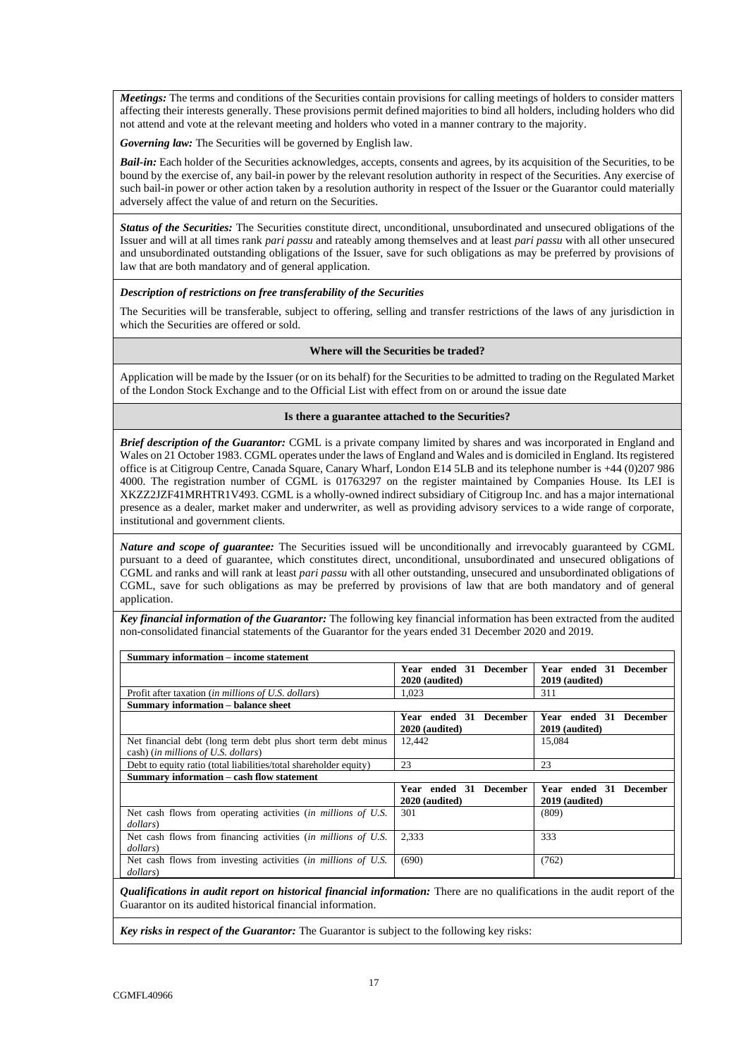*Meetings:* The terms and conditions of the Securities contain provisions for calling meetings of holders to consider matters affecting their interests generally. These provisions permit defined majorities to bind all holders, including holders who did not attend and vote at the relevant meeting and holders who voted in a manner contrary to the majority.

*Governing law:* The Securities will be governed by English law.

*Bail-in:* Each holder of the Securities acknowledges, accepts, consents and agrees, by its acquisition of the Securities, to be bound by the exercise of, any bail-in power by the relevant resolution authority in respect of the Securities. Any exercise of such bail-in power or other action taken by a resolution authority in respect of the Issuer or the Guarantor could materially adversely affect the value of and return on the Securities.

*Status of the Securities:* The Securities constitute direct, unconditional, unsubordinated and unsecured obligations of the Issuer and will at all times rank *pari passu* and rateably among themselves and at least *pari passu* with all other unsecured and unsubordinated outstanding obligations of the Issuer, save for such obligations as may be preferred by provisions of law that are both mandatory and of general application.

#### *Description of restrictions on free transferability of the Securities*

The Securities will be transferable, subject to offering, selling and transfer restrictions of the laws of any jurisdiction in which the Securities are offered or sold.

#### **Where will the Securities be traded?**

Application will be made by the Issuer (or on its behalf) for the Securities to be admitted to trading on the Regulated Market of the London Stock Exchange and to the Official List with effect from on or around the issue date

#### **Is there a guarantee attached to the Securities?**

*Brief description of the Guarantor:* CGML is a private company limited by shares and was incorporated in England and Wales on 21 October 1983. CGML operates under the laws of England and Wales and is domiciled in England. Its registered office is at Citigroup Centre, Canada Square, Canary Wharf, London E14 5LB and its telephone number is +44 (0)207 986 4000. The registration number of CGML is 01763297 on the register maintained by Companies House. Its LEI is XKZZ2JZF41MRHTR1V493. CGML is a wholly-owned indirect subsidiary of Citigroup Inc. and has a major international presence as a dealer, market maker and underwriter, as well as providing advisory services to a wide range of corporate, institutional and government clients.

*Nature and scope of guarantee:* The Securities issued will be unconditionally and irrevocably guaranteed by CGML pursuant to a deed of guarantee, which constitutes direct, unconditional, unsubordinated and unsecured obligations of CGML and ranks and will rank at least *pari passu* with all other outstanding, unsecured and unsubordinated obligations of CGML, save for such obligations as may be preferred by provisions of law that are both mandatory and of general application.

*Key financial information of the Guarantor:* The following key financial information has been extracted from the audited non-consolidated financial statements of the Guarantor for the years ended 31 December 2020 and 2019.

**Summary information – income statement Year ended 31 December 2020 (audited) Year ended 31 December 2019 (audited)** Profit after taxation (*in millions of U.S. dollars*) 1,023 **Summary information – balance sheet Year ended 31 December 2020 (audited) Year ended 31 December 2019 (audited)** Net financial debt (long term debt plus short term debt minus cash) (*in millions of U.S. dollars*) 12,442 15,084 Debt to equity ratio (total liabilities/total shareholder equity) 23 23 **Summary information – cash flow statement Year ended 31 December 2020 (audited) Year ended 31 December 2019 (audited)** Net cash flows from operating activities (*in millions of U.S. dollars*) 301 (809) Net cash flows from financing activities (*in millions of U.S. dollars*) 2,333 333 Net cash flows from investing activities (*in millions of U.S. dollars*)  $(690)$  (762)

*Qualifications in audit report on historical financial information:* There are no qualifications in the audit report of the Guarantor on its audited historical financial information.

*Key risks in respect of the Guarantor:* The Guarantor is subject to the following key risks: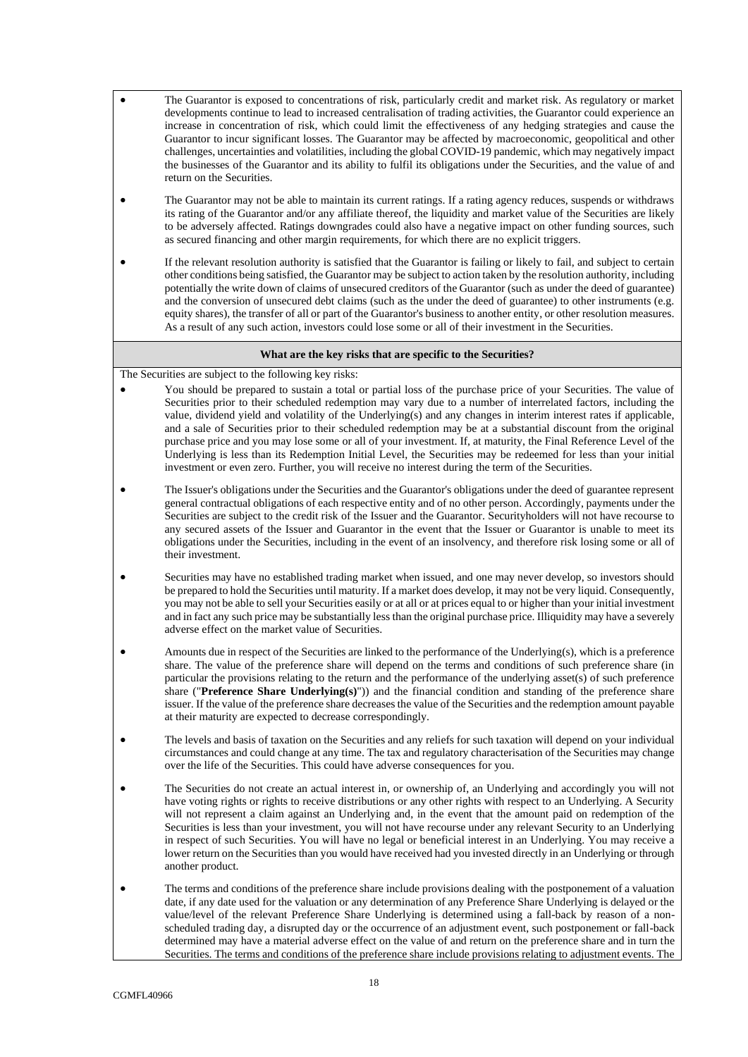- The Guarantor is exposed to concentrations of risk, particularly credit and market risk. As regulatory or market developments continue to lead to increased centralisation of trading activities, the Guarantor could experience an increase in concentration of risk, which could limit the effectiveness of any hedging strategies and cause the Guarantor to incur significant losses. The Guarantor may be affected by macroeconomic, geopolitical and other challenges, uncertainties and volatilities, including the global COVID-19 pandemic, which may negatively impact the businesses of the Guarantor and its ability to fulfil its obligations under the Securities, and the value of and return on the Securities.
- The Guarantor may not be able to maintain its current ratings. If a rating agency reduces, suspends or withdraws its rating of the Guarantor and/or any affiliate thereof, the liquidity and market value of the Securities are likely to be adversely affected. Ratings downgrades could also have a negative impact on other funding sources, such as secured financing and other margin requirements, for which there are no explicit triggers.
- If the relevant resolution authority is satisfied that the Guarantor is failing or likely to fail, and subject to certain other conditions being satisfied, the Guarantor may be subject to action taken by the resolution authority, including potentially the write down of claims of unsecured creditors of the Guarantor (such as under the deed of guarantee) and the conversion of unsecured debt claims (such as the under the deed of guarantee) to other instruments (e.g. equity shares), the transfer of all or part of the Guarantor's business to another entity, or other resolution measures. As a result of any such action, investors could lose some or all of their investment in the Securities.

#### **What are the key risks that are specific to the Securities?**

The Securities are subject to the following key risks:

- You should be prepared to sustain a total or partial loss of the purchase price of your Securities. The value of Securities prior to their scheduled redemption may vary due to a number of interrelated factors, including the value, dividend yield and volatility of the Underlying(s) and any changes in interim interest rates if applicable, and a sale of Securities prior to their scheduled redemption may be at a substantial discount from the original purchase price and you may lose some or all of your investment. If, at maturity, the Final Reference Level of the Underlying is less than its Redemption Initial Level, the Securities may be redeemed for less than your initial investment or even zero. Further, you will receive no interest during the term of the Securities.
- The Issuer's obligations under the Securities and the Guarantor's obligations under the deed of guarantee represent general contractual obligations of each respective entity and of no other person. Accordingly, payments under the Securities are subject to the credit risk of the Issuer and the Guarantor. Securityholders will not have recourse to any secured assets of the Issuer and Guarantor in the event that the Issuer or Guarantor is unable to meet its obligations under the Securities, including in the event of an insolvency, and therefore risk losing some or all of their investment.
- Securities may have no established trading market when issued, and one may never develop, so investors should be prepared to hold the Securities until maturity. If a market does develop, it may not be very liquid. Consequently, you may not be able to sell your Securities easily or at all or at prices equal to or higher than your initial investment and in fact any such price may be substantially less than the original purchase price. Illiquidity may have a severely adverse effect on the market value of Securities.
- Amounts due in respect of the Securities are linked to the performance of the Underlying(s), which is a preference share. The value of the preference share will depend on the terms and conditions of such preference share (in particular the provisions relating to the return and the performance of the underlying asset(s) of such preference share ("**Preference Share Underlying(s)**")) and the financial condition and standing of the preference share issuer. If the value of the preference share decreases the value of the Securities and the redemption amount payable at their maturity are expected to decrease correspondingly.
- The levels and basis of taxation on the Securities and any reliefs for such taxation will depend on your individual circumstances and could change at any time. The tax and regulatory characterisation of the Securities may change over the life of the Securities. This could have adverse consequences for you.
- The Securities do not create an actual interest in, or ownership of, an Underlying and accordingly you will not have voting rights or rights to receive distributions or any other rights with respect to an Underlying. A Security will not represent a claim against an Underlying and, in the event that the amount paid on redemption of the Securities is less than your investment, you will not have recourse under any relevant Security to an Underlying in respect of such Securities. You will have no legal or beneficial interest in an Underlying. You may receive a lower return on the Securities than you would have received had you invested directly in an Underlying or through another product.
- The terms and conditions of the preference share include provisions dealing with the postponement of a valuation date, if any date used for the valuation or any determination of any Preference Share Underlying is delayed or the value/level of the relevant Preference Share Underlying is determined using a fall-back by reason of a nonscheduled trading day, a disrupted day or the occurrence of an adjustment event, such postponement or fall-back determined may have a material adverse effect on the value of and return on the preference share and in turn the Securities. The terms and conditions of the preference share include provisions relating to adjustment events. The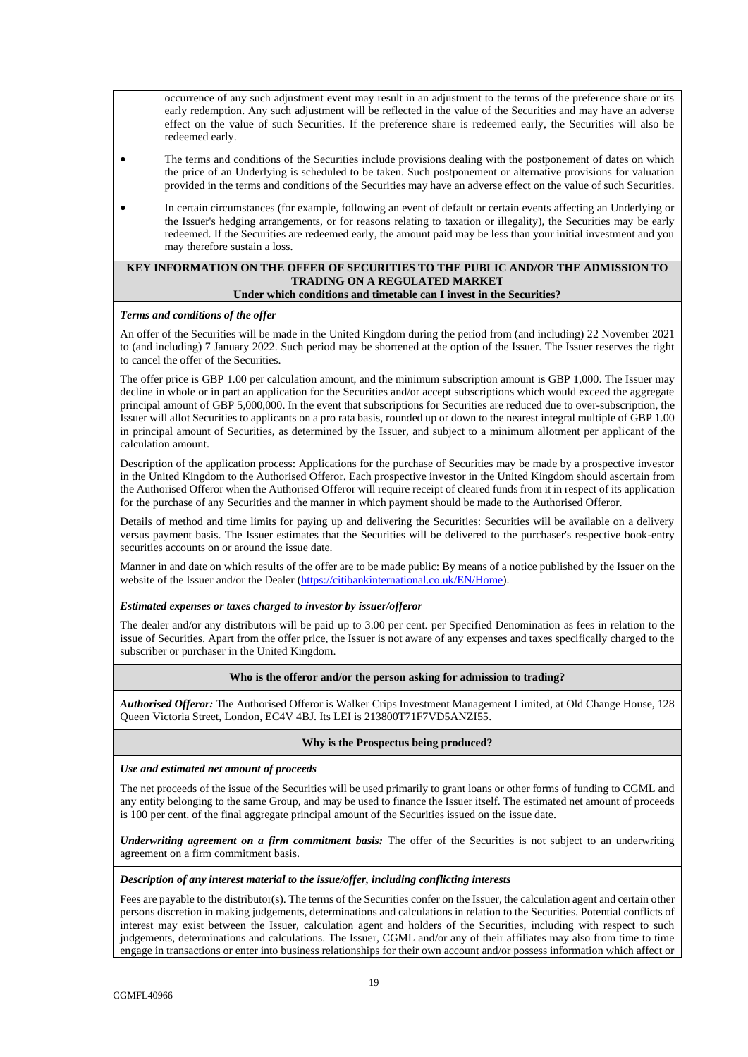occurrence of any such adjustment event may result in an adjustment to the terms of the preference share or its early redemption. Any such adjustment will be reflected in the value of the Securities and may have an adverse effect on the value of such Securities. If the preference share is redeemed early, the Securities will also be redeemed early.

- The terms and conditions of the Securities include provisions dealing with the postponement of dates on which the price of an Underlying is scheduled to be taken. Such postponement or alternative provisions for valuation provided in the terms and conditions of the Securities may have an adverse effect on the value of such Securities.
- In certain circumstances (for example, following an event of default or certain events affecting an Underlying or the Issuer's hedging arrangements, or for reasons relating to taxation or illegality), the Securities may be early redeemed. If the Securities are redeemed early, the amount paid may be less than your initial investment and you may therefore sustain a loss.

#### **KEY INFORMATION ON THE OFFER OF SECURITIES TO THE PUBLIC AND/OR THE ADMISSION TO TRADING ON A REGULATED MARKET Under which conditions and timetable can I invest in the Securities?**

#### *Terms and conditions of the offer*

An offer of the Securities will be made in the United Kingdom during the period from (and including) 22 November 2021 to (and including) 7 January 2022. Such period may be shortened at the option of the Issuer. The Issuer reserves the right to cancel the offer of the Securities.

The offer price is GBP 1.00 per calculation amount, and the minimum subscription amount is GBP 1,000. The Issuer may decline in whole or in part an application for the Securities and/or accept subscriptions which would exceed the aggregate principal amount of GBP 5,000,000. In the event that subscriptions for Securities are reduced due to over-subscription, the Issuer will allot Securities to applicants on a pro rata basis, rounded up or down to the nearest integral multiple of GBP 1.00 in principal amount of Securities, as determined by the Issuer, and subject to a minimum allotment per applicant of the calculation amount.

Description of the application process: Applications for the purchase of Securities may be made by a prospective investor in the United Kingdom to the Authorised Offeror. Each prospective investor in the United Kingdom should ascertain from the Authorised Offeror when the Authorised Offeror will require receipt of cleared funds from it in respect of its application for the purchase of any Securities and the manner in which payment should be made to the Authorised Offeror.

Details of method and time limits for paying up and delivering the Securities: Securities will be available on a delivery versus payment basis. The Issuer estimates that the Securities will be delivered to the purchaser's respective book-entry securities accounts on or around the issue date.

Manner in and date on which results of the offer are to be made public: By means of a notice published by the Issuer on the website of the Issuer and/or the Dealer [\(https://citibankinternational.co.uk/EN/Home\)](https://citibankinternational.co.uk/EN/Home).

#### *Estimated expenses or taxes charged to investor by issuer/offeror*

The dealer and/or any distributors will be paid up to 3.00 per cent. per Specified Denomination as fees in relation to the issue of Securities. Apart from the offer price, the Issuer is not aware of any expenses and taxes specifically charged to the subscriber or purchaser in the United Kingdom.

#### **Who is the offeror and/or the person asking for admission to trading?**

*Authorised Offeror:* The Authorised Offeror is Walker Crips Investment Management Limited, at Old Change House, 128 Queen Victoria Street, London, EC4V 4BJ. Its LEI is 213800T71F7VD5ANZI55.

#### **Why is the Prospectus being produced?**

*Use and estimated net amount of proceeds* 

The net proceeds of the issue of the Securities will be used primarily to grant loans or other forms of funding to CGML and any entity belonging to the same Group, and may be used to finance the Issuer itself. The estimated net amount of proceeds is 100 per cent. of the final aggregate principal amount of the Securities issued on the issue date.

*Underwriting agreement on a firm commitment basis:* The offer of the Securities is not subject to an underwriting agreement on a firm commitment basis.

#### *Description of any interest material to the issue/offer, including conflicting interests*

Fees are payable to the distributor(s). The terms of the Securities confer on the Issuer, the calculation agent and certain other persons discretion in making judgements, determinations and calculations in relation to the Securities. Potential conflicts of interest may exist between the Issuer, calculation agent and holders of the Securities, including with respect to such judgements, determinations and calculations. The Issuer, CGML and/or any of their affiliates may also from time to time engage in transactions or enter into business relationships for their own account and/or possess information which affect or